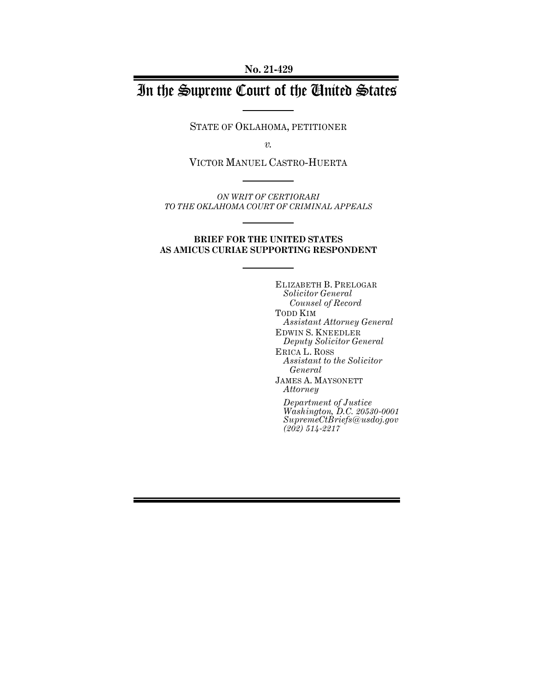**No. 21-429**

# In the Supreme Court of the United States

STATE OF OKLAHOMA, PETITIONER

*v.*

VICTOR MANUEL CASTRO-HUERTA

*ON WRIT OF CERTIORARI TO THE OKLAHOMA COURT OF CRIMINAL APPEALS*

#### **BRIEF FOR THE UNITED STATES AS AMICUS CURIAE SUPPORTING RESPONDENT**

ELIZABETH B. PRELOGAR *Solicitor General Counsel of Record* TODD KIM *Assistant Attorney General* EDWIN S. KNEEDLER *Deputy Solicitor General* ERICA L. ROSS *Assistant to the Solicitor General* JAMES A. MAYSONETT *Attorney Department of Justice*

*Washington, D.C. 20530-0001 SupremeCtBriefs@usdoj.gov (202) 514-2217*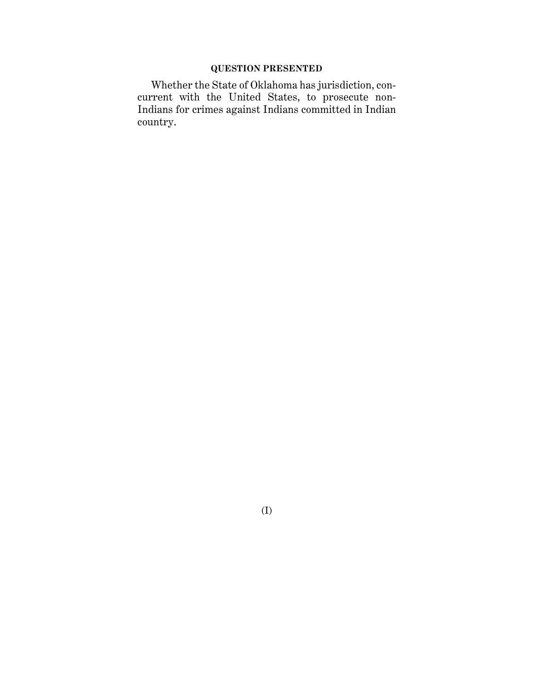# **QUESTION PRESENTED**

Whether the State of Oklahoma has jurisdiction, concurrent with the United States, to prosecute non-Indians for crimes against Indians committed in Indian country.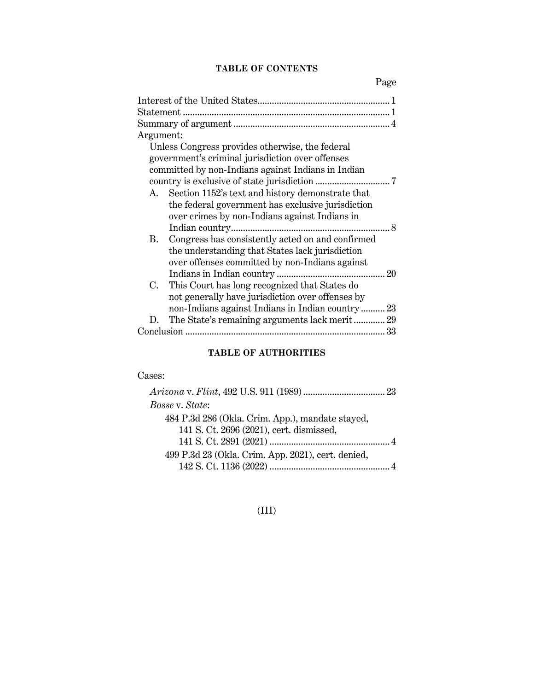# **TABLE OF CONTENTS**

Page

| Argument: |                                                     |    |
|-----------|-----------------------------------------------------|----|
|           | Unless Congress provides otherwise, the federal     |    |
|           | government's criminal jurisdiction over offenses    |    |
|           | committed by non-Indians against Indians in Indian  |    |
|           |                                                     |    |
|           | A. Section 1152's text and history demonstrate that |    |
|           | the federal government has exclusive jurisdiction   |    |
|           | over crimes by non-Indians against Indians in       |    |
|           |                                                     |    |
| В.        | Congress has consistently acted on and confirmed    |    |
|           | the understanding that States lack jurisdiction     |    |
|           | over offenses committed by non-Indians against      |    |
|           |                                                     |    |
| C.        | This Court has long recognized that States do       |    |
|           | not generally have jurisdiction over offenses by    |    |
|           | non-Indians against Indians in Indian country 23    |    |
| D.        | The State's remaining arguments lack merit 29       |    |
|           |                                                     | 33 |
|           |                                                     |    |

# **TABLE OF AUTHORITIES**

# Cases:

| Bosse v. State:                                    |  |
|----------------------------------------------------|--|
| 484 P.3d 286 (Okla. Crim. App.), mandate stayed,   |  |
| 141 S. Ct. 2696 (2021), cert. dismissed,           |  |
|                                                    |  |
| 499 P.3d 23 (Okla. Crim. App. 2021), cert. denied, |  |
|                                                    |  |

# (III)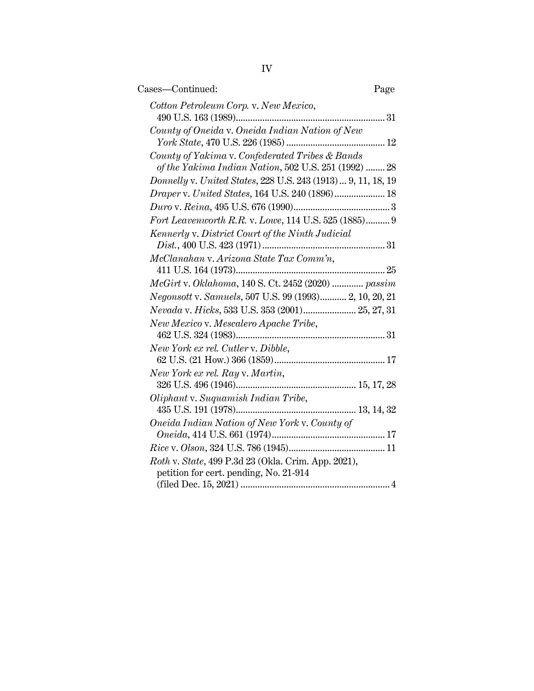| Cases—Continued:                                                                                         | Page |
|----------------------------------------------------------------------------------------------------------|------|
| Cotton Petroleum Corp. v. New Mexico,                                                                    |      |
| County of Oneida v. Oneida Indian Nation of New                                                          |      |
| County of Yakima v. Confederated Tribes & Bands<br>of the Yakima Indian Nation, 502 U.S. 251 (1992)  28  |      |
| Donnelly v. United States, 228 U.S. 243 (1913)  9, 11, 18, 19                                            |      |
| Draper v. United States, 164 U.S. 240 (1896) 18                                                          |      |
|                                                                                                          |      |
| Fort Leavenworth R.R. v. Lowe, 114 U.S. 525 (1885) 9<br>Kennerly v. District Court of the Ninth Judicial |      |
|                                                                                                          |      |
| McClanahan v. Arizona State Tax Comm'n,                                                                  |      |
| McGirt v. Oklahoma, 140 S. Ct. 2452 (2020)  passim                                                       |      |
| Negonsott v. Samuels, 507 U.S. 99 (1993) 2, 10, 20, 21                                                   |      |
| Nevada v. Hicks, 533 U.S. 353 (2001) 25, 27, 31                                                          |      |
| New Mexico v. Mescalero Apache Tribe,                                                                    |      |
|                                                                                                          |      |
| New York ex rel. Cutler v. Dibble,                                                                       |      |
|                                                                                                          |      |
| New York ex rel. Ray v. Martin,                                                                          |      |
|                                                                                                          |      |
| Oliphant v. Suquamish Indian Tribe,                                                                      |      |
| Oneida Indian Nation of New York v. County of                                                            |      |
|                                                                                                          |      |
|                                                                                                          |      |
| Roth v. State, 499 P.3d 23 (Okla. Crim. App. 2021),<br>petition for cert. pending, No. 21-914            |      |
|                                                                                                          |      |
|                                                                                                          |      |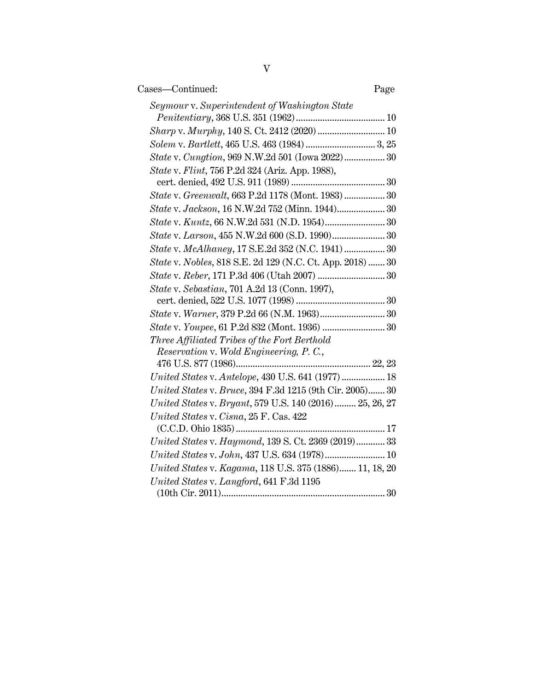| Cases—Continued:                                          | Page |
|-----------------------------------------------------------|------|
| Seymour v. Superintendent of Washington State             |      |
|                                                           |      |
|                                                           |      |
|                                                           |      |
| State v. Cungtion, 969 N.W.2d 501 (Iowa 2022) 30          |      |
| State v. Flint, 756 P.2d 324 (Ariz. App. 1988),           |      |
| State v. Greenwalt, 663 P.2d 1178 (Mont. 1983) 30         |      |
| State v. Jackson, 16 N.W.2d 752 (Minn. 1944) 30           |      |
|                                                           |      |
| State v. Larson, 455 N.W.2d 600 (S.D. 1990) 30            |      |
| State v. McAlhaney, 17 S.E.2d 352 (N.C. 1941)  30         |      |
| State v. Nobles, 818 S.E. 2d 129 (N.C. Ct. App. 2018)  30 |      |
|                                                           |      |
| <i>State v. Sebastian, 701 A.2d 13 (Conn. 1997),</i>      |      |
|                                                           |      |
|                                                           |      |
|                                                           |      |
| Three Affiliated Tribes of the Fort Berthold              |      |
| Reservation v. Wold Engineering, P.C.,                    |      |
|                                                           |      |
| United States v. Antelope, 430 U.S. 641 (1977)  18        |      |
| United States v. Bruce, 394 F.3d 1215 (9th Cir. 2005) 30  |      |
| United States v. Bryant, 579 U.S. 140 (2016) 25, 26, 27   |      |
| United States v. Cisna, 25 F. Cas. 422                    |      |
|                                                           |      |
| United States v. Haymond, 139 S. Ct. 2369 (2019) 33       |      |
| United States v. John, 437 U.S. 634 (1978) 10             |      |
| United States v. Kagama, 118 U.S. 375 (1886) 11, 18, 20   |      |
| United States v. Langford, 641 F.3d 1195                  |      |
|                                                           |      |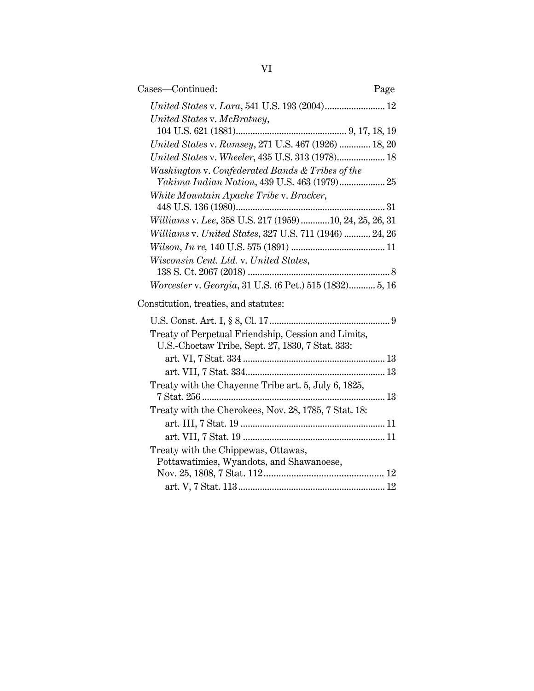| Cases-Continued:                                                                                        | Page |
|---------------------------------------------------------------------------------------------------------|------|
| United States v. Lara, 541 U.S. 193 (2004) 12                                                           |      |
| United States v. McBratney,                                                                             |      |
|                                                                                                         |      |
| United States v. Ramsey, 271 U.S. 467 (1926)  18, 20                                                    |      |
| United States v. Wheeler, 435 U.S. 313 (1978) 18                                                        |      |
| Washington v. Confederated Bands & Tribes of the                                                        |      |
| White Mountain Apache Tribe v. Bracker,                                                                 |      |
|                                                                                                         |      |
| Williams v. Lee, 358 U.S. 217 (1959)10, 24, 25, 26, 31                                                  |      |
| Williams v. United States, 327 U.S. 711 (1946)  24, 26                                                  |      |
|                                                                                                         |      |
| Wisconsin Cent. Ltd. v. United States,                                                                  |      |
|                                                                                                         |      |
| Worcester v. Georgia, 31 U.S. (6 Pet.) 515 (1832) 5, 16                                                 |      |
| Constitution, treaties, and statutes:                                                                   |      |
|                                                                                                         |      |
| Treaty of Perpetual Friendship, Cession and Limits,<br>U.S.-Choctaw Tribe, Sept. 27, 1830, 7 Stat. 333: |      |
|                                                                                                         |      |
|                                                                                                         |      |
| Treaty with the Chayenne Tribe art. 5, July 6, 1825,                                                    |      |
| Treaty with the Cherokees, Nov. 28, 1785, 7 Stat. 18:                                                   |      |
|                                                                                                         |      |
|                                                                                                         |      |
| Treaty with the Chippewas, Ottawas,                                                                     |      |
| Pottawatimies, Wyandots, and Shawanoese,                                                                |      |
|                                                                                                         |      |
|                                                                                                         |      |
|                                                                                                         |      |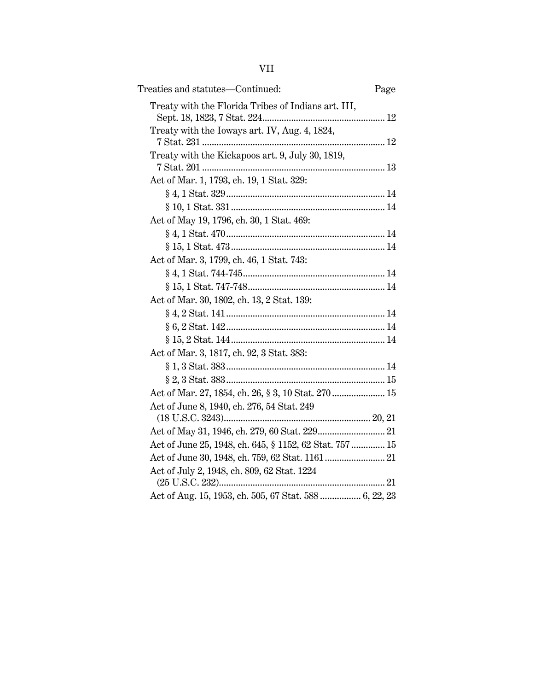| Treaties and statutes—Continued:                        | Page |
|---------------------------------------------------------|------|
| Treaty with the Florida Tribes of Indians art. III,     |      |
| Treaty with the Ioways art. IV, Aug. 4, 1824,           |      |
|                                                         |      |
| Treaty with the Kickapoos art. 9, July 30, 1819,        |      |
| Act of Mar. 1, 1793, ch. 19, 1 Stat. 329:               |      |
|                                                         |      |
|                                                         |      |
| Act of May 19, 1796, ch. 30, 1 Stat. 469:               |      |
|                                                         |      |
|                                                         |      |
| Act of Mar. 3, 1799, ch. 46, 1 Stat. 743:               |      |
|                                                         |      |
|                                                         |      |
| Act of Mar. 30, 1802, ch. 13, 2 Stat. 139:              |      |
|                                                         |      |
|                                                         |      |
| $§ 15, 2 \text{ Stat. } 144 \dots 14$                   |      |
| Act of Mar. 3, 1817, ch. 92, 3 Stat. 383:               |      |
| $§ 1, 3 \text{ Stat. } 383 \dots 14$                    |      |
|                                                         |      |
| Act of Mar. 27, 1854, ch. 26, § 3, 10 Stat. 270 15      |      |
| Act of June 8, 1940, ch. 276, 54 Stat. 249              |      |
|                                                         |      |
| Act of June 25, 1948, ch. 645, § 1152, 62 Stat. 757  15 |      |
|                                                         |      |
| Act of July 2, 1948, ch. 809, 62 Stat. 1224             |      |
|                                                         |      |
| Act of Aug. 15, 1953, ch. 505, 67 Stat. 588  6, 22, 23  |      |
|                                                         |      |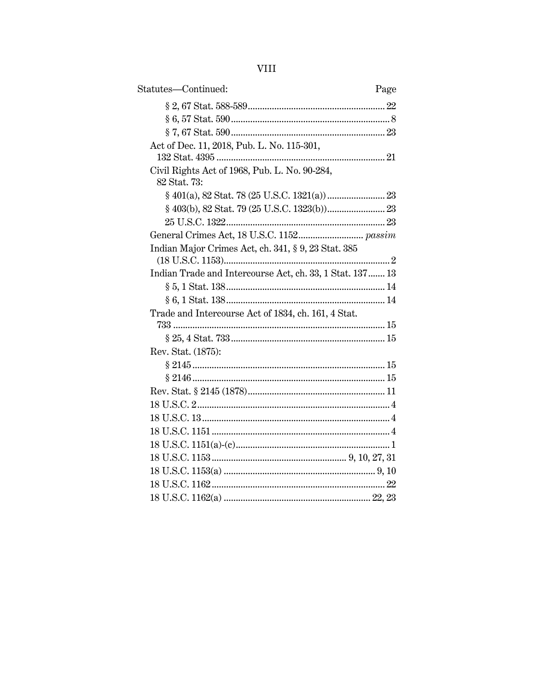| Statutes-Continued:                                           | Page |
|---------------------------------------------------------------|------|
|                                                               |      |
|                                                               |      |
|                                                               |      |
| Act of Dec. 11, 2018, Pub. L. No. 115-301,                    |      |
|                                                               |      |
| Civil Rights Act of 1968, Pub. L. No. 90-284,<br>82 Stat. 73: |      |
|                                                               |      |
|                                                               |      |
|                                                               |      |
|                                                               |      |
| Indian Major Crimes Act, ch. 341, § 9, 23 Stat. 385           |      |
| Indian Trade and Intercourse Act, ch. 33, 1 Stat. 137 13      |      |
|                                                               |      |
|                                                               |      |
| Trade and Intercourse Act of 1834, ch. 161, 4 Stat.           |      |
|                                                               |      |
|                                                               |      |
| Rev. Stat. (1875):                                            |      |
|                                                               |      |
|                                                               |      |
|                                                               |      |
|                                                               |      |
|                                                               |      |
|                                                               |      |
|                                                               |      |
|                                                               |      |
|                                                               |      |
|                                                               |      |
|                                                               |      |
|                                                               |      |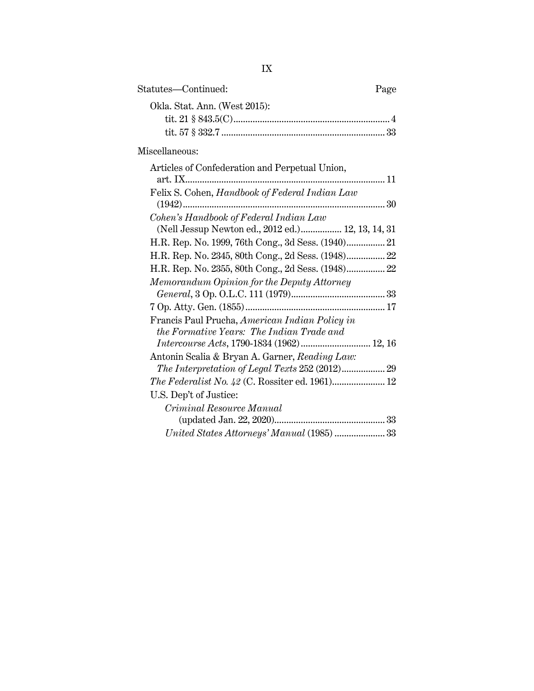| Page |
|------|
|      |
|      |
|      |
|      |
|      |
|      |

| At ticles of Confederation and I effectual Chion,  |
|----------------------------------------------------|
| art. IX<br>11                                      |
| Felix S. Cohen, Handbook of Federal Indian Law     |
|                                                    |
| Cohen's Handbook of Federal Indian Law             |
| (Nell Jessup Newton ed., 2012 ed.) 12, 13, 14, 31  |
|                                                    |
| H.R. Rep. No. 2345, 80th Cong., 2d Sess. (1948) 22 |
| H.R. Rep. No. 2355, 80th Cong., 2d Sess. (1948) 22 |
| Memorandum Opinion for the Deputy Attorney         |
|                                                    |
|                                                    |
| Francis Paul Prucha, American Indian Policy in     |
| the Formative Years: The Indian Trade and          |
| Intercourse Acts, 1790-1834 (1962) 12, 16          |
| Antonin Scalia & Bryan A. Garner, Reading Law:     |
|                                                    |
|                                                    |
| U.S. Dep't of Justice:                             |
| Criminal Resource Manual                           |
|                                                    |
| United States Attorneys' Manual (1985)  33         |
|                                                    |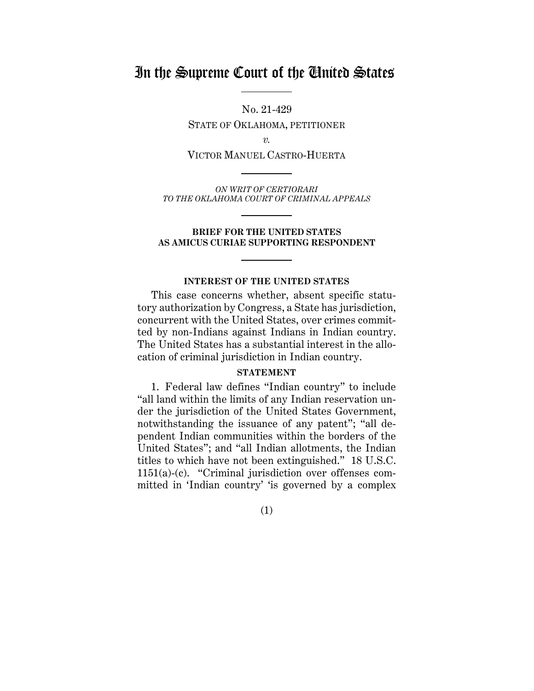# In the Supreme Court of the United States

No. 21-429

STATE OF OKLAHOMA, PETITIONER

*v.*

VICTOR MANUEL CASTRO-HUERTA

*ON WRIT OF CERTIORARI TO THE OKLAHOMA COURT OF CRIMINAL APPEALS*

#### **BRIEF FOR THE UNITED STATES AS AMICUS CURIAE SUPPORTING RESPONDENT**

#### **INTEREST OF THE UNITED STATES**

This case concerns whether, absent specific statutory authorization by Congress, a State has jurisdiction, concurrent with the United States, over crimes committed by non-Indians against Indians in Indian country. The United States has a substantial interest in the allocation of criminal jurisdiction in Indian country.

#### **STATEMENT**

1. Federal law defines "Indian country" to include "all land within the limits of any Indian reservation under the jurisdiction of the United States Government, notwithstanding the issuance of any patent"; "all dependent Indian communities within the borders of the United States"; and "all Indian allotments, the Indian titles to which have not been extinguished." 18 U.S.C. 1151(a)-(c). "Criminal jurisdiction over offenses committed in 'Indian country' 'is governed by a complex

(1)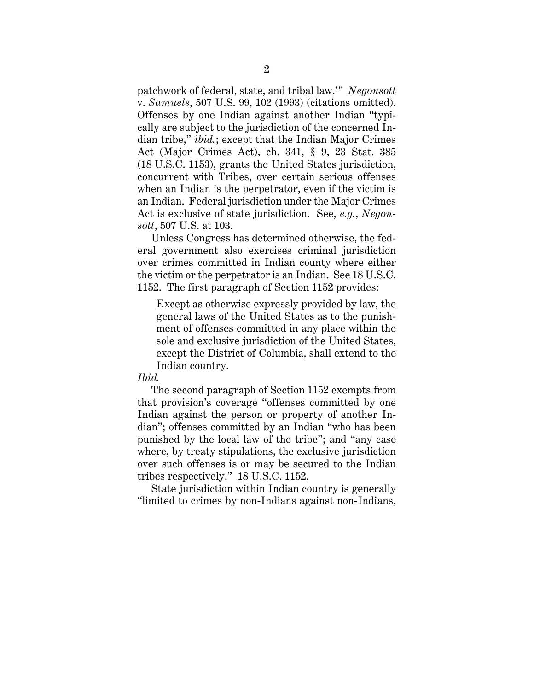patchwork of federal, state, and tribal law.'" *Negonsott*  v. *Samuels*, 507 U.S. 99, 102 (1993) (citations omitted). Offenses by one Indian against another Indian "typically are subject to the jurisdiction of the concerned Indian tribe," *ibid.*; except that the Indian Major Crimes Act (Major Crimes Act), ch. 341, § 9, 23 Stat. 385 (18 U.S.C. 1153), grants the United States jurisdiction, concurrent with Tribes, over certain serious offenses when an Indian is the perpetrator, even if the victim is an Indian. Federal jurisdiction under the Major Crimes Act is exclusive of state jurisdiction. See, *e.g.*, *Negonsott*, 507 U.S. at 103.

Unless Congress has determined otherwise, the federal government also exercises criminal jurisdiction over crimes committed in Indian county where either the victim or the perpetrator is an Indian. See 18 U.S.C. 1152. The first paragraph of Section 1152 provides:

Except as otherwise expressly provided by law, the general laws of the United States as to the punishment of offenses committed in any place within the sole and exclusive jurisdiction of the United States, except the District of Columbia, shall extend to the Indian country.

### *Ibid.*

The second paragraph of Section 1152 exempts from that provision's coverage "offenses committed by one Indian against the person or property of another Indian"; offenses committed by an Indian "who has been punished by the local law of the tribe"; and "any case where, by treaty stipulations, the exclusive jurisdiction over such offenses is or may be secured to the Indian tribes respectively." 18 U.S.C. 1152.

 State jurisdiction within Indian country is generally "limited to crimes by non-Indians against non-Indians,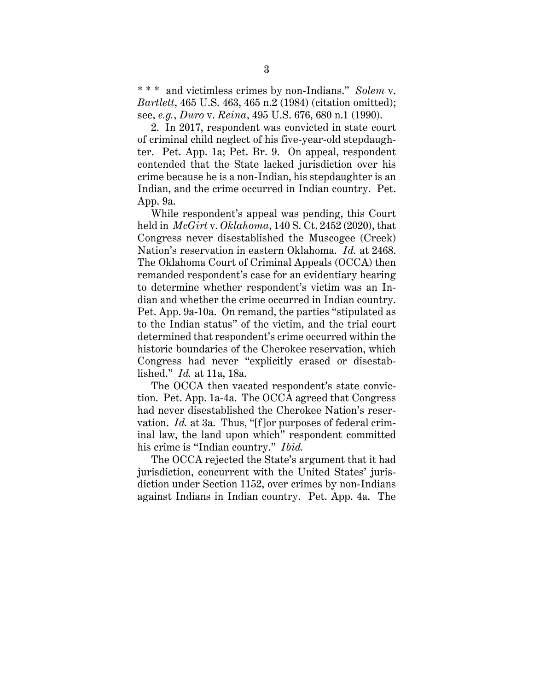\* \* \* and victimless crimes by non-Indians." *Solem* v. *Bartlett*, 465 U.S. 463, 465 n.2 (1984) (citation omitted); see, *e.g.*, *Duro* v. *Reina*, 495 U.S. 676, 680 n.1 (1990).

2. In 2017, respondent was convicted in state court of criminal child neglect of his five-year-old stepdaughter. Pet. App. 1a; Pet. Br. 9. On appeal, respondent contended that the State lacked jurisdiction over his crime because he is a non-Indian, his stepdaughter is an Indian, and the crime occurred in Indian country. Pet. App. 9a.

While respondent's appeal was pending, this Court held in *McGirt* v. *Oklahoma*, 140 S. Ct. 2452 (2020), that Congress never disestablished the Muscogee (Creek) Nation's reservation in eastern Oklahoma. *Id.* at 2468. The Oklahoma Court of Criminal Appeals (OCCA) then remanded respondent's case for an evidentiary hearing to determine whether respondent's victim was an Indian and whether the crime occurred in Indian country. Pet. App. 9a-10a. On remand, the parties "stipulated as to the Indian status" of the victim, and the trial court determined that respondent's crime occurred within the historic boundaries of the Cherokee reservation, which Congress had never "explicitly erased or disestablished." *Id.* at 11a, 18a.

The OCCA then vacated respondent's state conviction. Pet. App. 1a-4a. The OCCA agreed that Congress had never disestablished the Cherokee Nation's reservation. *Id.* at 3a. Thus, "[f]or purposes of federal criminal law, the land upon which" respondent committed his crime is "Indian country." *Ibid.*

The OCCA rejected the State's argument that it had jurisdiction, concurrent with the United States' jurisdiction under Section 1152, over crimes by non-Indians against Indians in Indian country. Pet. App. 4a. The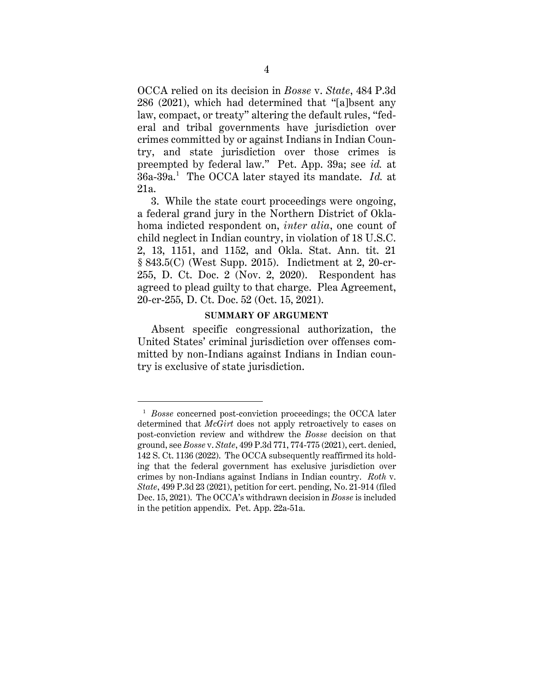OCCA relied on its decision in *Bosse* v. *State*, 484 P.3d 286 (2021), which had determined that "[a]bsent any law, compact, or treaty" altering the default rules, "federal and tribal governments have jurisdiction over crimes committed by or against Indians in Indian Country, and state jurisdiction over those crimes is preempted by federal law." Pet. App. 39a; see *id.* at 36a-39a. 1 The OCCA later stayed its mandate. *Id.* at 21a.

3. While the state court proceedings were ongoing, a federal grand jury in the Northern District of Oklahoma indicted respondent on, *inter alia*, one count of child neglect in Indian country, in violation of 18 U.S.C. 2, 13, 1151, and 1152, and Okla. Stat. Ann. tit. 21 § 843.5(C) (West Supp. 2015). Indictment at 2, 20-cr-255, D. Ct. Doc. 2 (Nov. 2, 2020). Respondent has agreed to plead guilty to that charge. Plea Agreement, 20-cr-255, D. Ct. Doc. 52 (Oct. 15, 2021).

#### **SUMMARY OF ARGUMENT**

Absent specific congressional authorization, the United States' criminal jurisdiction over offenses committed by non-Indians against Indians in Indian country is exclusive of state jurisdiction.

<sup>1</sup> *Bosse* concerned post-conviction proceedings; the OCCA later determined that *McGirt* does not apply retroactively to cases on post-conviction review and withdrew the *Bosse* decision on that ground, see *Bosse* v. *State*, 499 P.3d 771, 774-775 (2021), cert. denied, 142 S. Ct. 1136 (2022). The OCCA subsequently reaffirmed its holding that the federal government has exclusive jurisdiction over crimes by non-Indians against Indians in Indian country. *Roth* v. *State*, 499 P.3d 23 (2021), petition for cert. pending, No. 21-914 (filed Dec. 15, 2021). The OCCA's withdrawn decision in *Bosse* is included in the petition appendix. Pet. App. 22a-51a.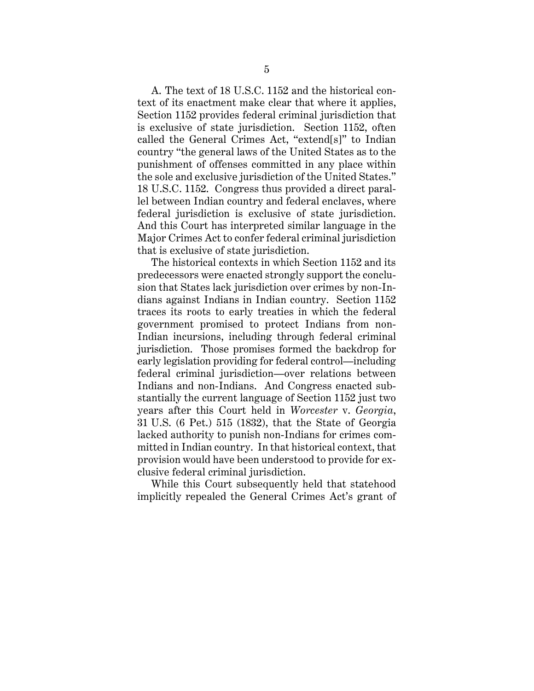A. The text of 18 U.S.C. 1152 and the historical context of its enactment make clear that where it applies, Section 1152 provides federal criminal jurisdiction that is exclusive of state jurisdiction. Section 1152, often called the General Crimes Act, "extend[s]" to Indian country "the general laws of the United States as to the punishment of offenses committed in any place within the sole and exclusive jurisdiction of the United States." 18 U.S.C. 1152. Congress thus provided a direct parallel between Indian country and federal enclaves, where federal jurisdiction is exclusive of state jurisdiction. And this Court has interpreted similar language in the Major Crimes Act to confer federal criminal jurisdiction that is exclusive of state jurisdiction.

The historical contexts in which Section 1152 and its predecessors were enacted strongly support the conclusion that States lack jurisdiction over crimes by non-Indians against Indians in Indian country. Section 1152 traces its roots to early treaties in which the federal government promised to protect Indians from non-Indian incursions, including through federal criminal jurisdiction. Those promises formed the backdrop for early legislation providing for federal control—including federal criminal jurisdiction—over relations between Indians and non-Indians. And Congress enacted substantially the current language of Section 1152 just two years after this Court held in *Worcester* v. *Georgia*, 31 U.S. (6 Pet.) 515 (1832), that the State of Georgia lacked authority to punish non-Indians for crimes committed in Indian country. In that historical context, that provision would have been understood to provide for exclusive federal criminal jurisdiction.

While this Court subsequently held that statehood implicitly repealed the General Crimes Act's grant of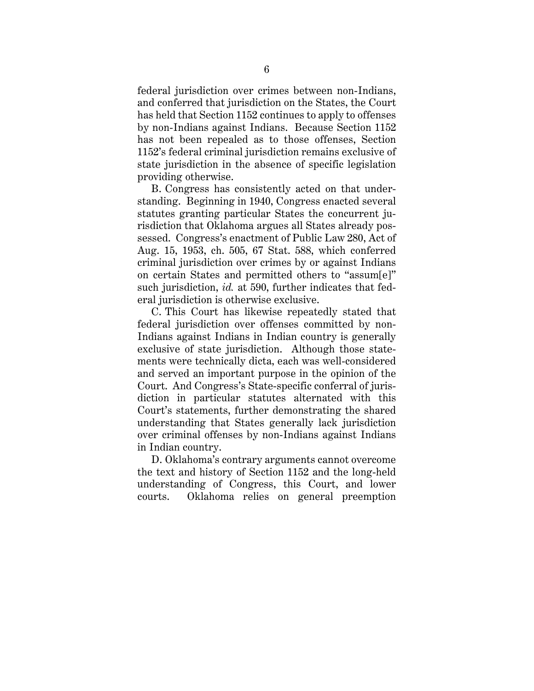federal jurisdiction over crimes between non-Indians, and conferred that jurisdiction on the States, the Court has held that Section 1152 continues to apply to offenses by non-Indians against Indians. Because Section 1152 has not been repealed as to those offenses, Section 1152's federal criminal jurisdiction remains exclusive of state jurisdiction in the absence of specific legislation providing otherwise.

B. Congress has consistently acted on that understanding. Beginning in 1940, Congress enacted several statutes granting particular States the concurrent jurisdiction that Oklahoma argues all States already possessed. Congress's enactment of Public Law 280, Act of Aug. 15, 1953, ch. 505, 67 Stat. 588, which conferred criminal jurisdiction over crimes by or against Indians on certain States and permitted others to "assum[e]" such jurisdiction, *id.* at 590, further indicates that federal jurisdiction is otherwise exclusive.

C. This Court has likewise repeatedly stated that federal jurisdiction over offenses committed by non-Indians against Indians in Indian country is generally exclusive of state jurisdiction. Although those statements were technically dicta, each was well-considered and served an important purpose in the opinion of the Court. And Congress's State-specific conferral of jurisdiction in particular statutes alternated with this Court's statements, further demonstrating the shared understanding that States generally lack jurisdiction over criminal offenses by non-Indians against Indians in Indian country.

D. Oklahoma's contrary arguments cannot overcome the text and history of Section 1152 and the long-held understanding of Congress, this Court, and lower courts. Oklahoma relies on general preemption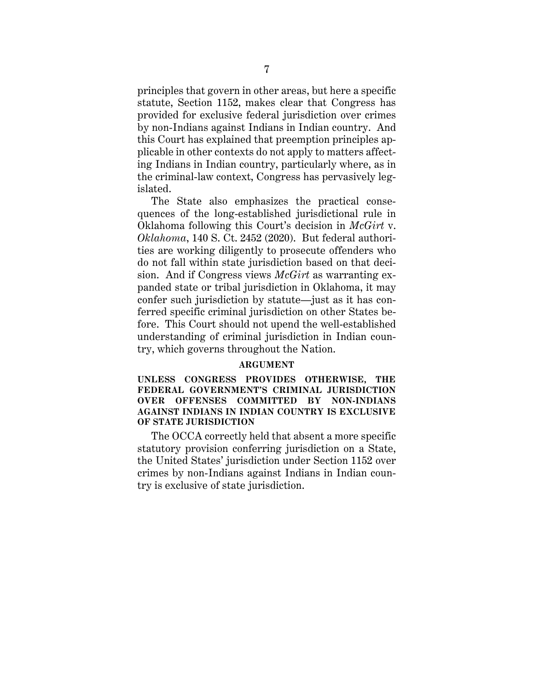principles that govern in other areas, but here a specific statute, Section 1152, makes clear that Congress has provided for exclusive federal jurisdiction over crimes by non-Indians against Indians in Indian country. And this Court has explained that preemption principles applicable in other contexts do not apply to matters affecting Indians in Indian country, particularly where, as in the criminal-law context, Congress has pervasively legislated.

The State also emphasizes the practical consequences of the long-established jurisdictional rule in Oklahoma following this Court's decision in *McGirt* v. *Oklahoma*, 140 S. Ct. 2452 (2020). But federal authorities are working diligently to prosecute offenders who do not fall within state jurisdiction based on that decision. And if Congress views *McGirt* as warranting expanded state or tribal jurisdiction in Oklahoma, it may confer such jurisdiction by statute—just as it has conferred specific criminal jurisdiction on other States before. This Court should not upend the well-established understanding of criminal jurisdiction in Indian country, which governs throughout the Nation.

### **ARGUMENT**

**UNLESS CONGRESS PROVIDES OTHERWISE, THE FEDERAL GOVERNMENT'S CRIMINAL JURISDICTION OVER OFFENSES COMMITTED BY NON-INDIANS AGAINST INDIANS IN INDIAN COUNTRY IS EXCLUSIVE OF STATE JURISDICTION** 

The OCCA correctly held that absent a more specific statutory provision conferring jurisdiction on a State, the United States' jurisdiction under Section 1152 over crimes by non-Indians against Indians in Indian country is exclusive of state jurisdiction.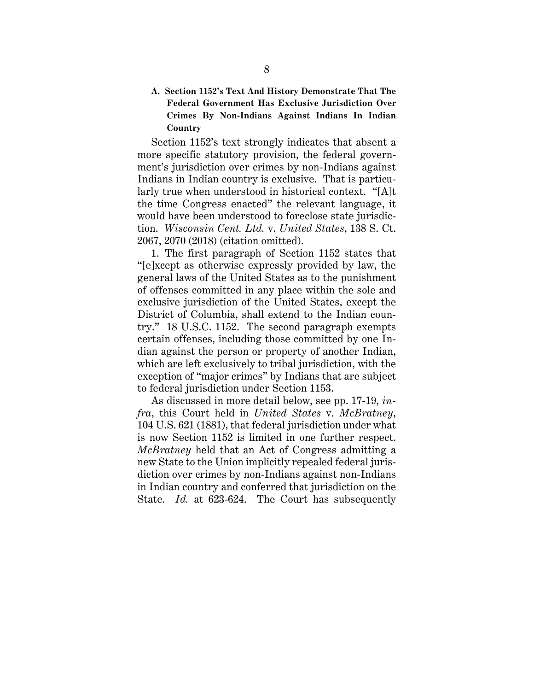**A. Section 1152's Text And History Demonstrate That The Federal Government Has Exclusive Jurisdiction Over Crimes By Non-Indians Against Indians In Indian Country**

Section 1152's text strongly indicates that absent a more specific statutory provision, the federal government's jurisdiction over crimes by non-Indians against Indians in Indian country is exclusive. That is particularly true when understood in historical context. "[A]t the time Congress enacted" the relevant language, it would have been understood to foreclose state jurisdiction. *Wisconsin Cent. Ltd.* v. *United States*, 138 S. Ct. 2067, 2070 (2018) (citation omitted).

1. The first paragraph of Section 1152 states that "[e]xcept as otherwise expressly provided by law, the general laws of the United States as to the punishment of offenses committed in any place within the sole and exclusive jurisdiction of the United States, except the District of Columbia, shall extend to the Indian country." 18 U.S.C. 1152. The second paragraph exempts certain offenses, including those committed by one Indian against the person or property of another Indian, which are left exclusively to tribal jurisdiction, with the exception of "major crimes" by Indians that are subject to federal jurisdiction under Section 1153.

As discussed in more detail below, see pp. 17-19, *infra*, this Court held in *United States* v. *McBratney*, 104 U.S. 621 (1881), that federal jurisdiction under what is now Section 1152 is limited in one further respect. *McBratney* held that an Act of Congress admitting a new State to the Union implicitly repealed federal jurisdiction over crimes by non-Indians against non-Indians in Indian country and conferred that jurisdiction on the State. *Id.* at 623-624. The Court has subsequently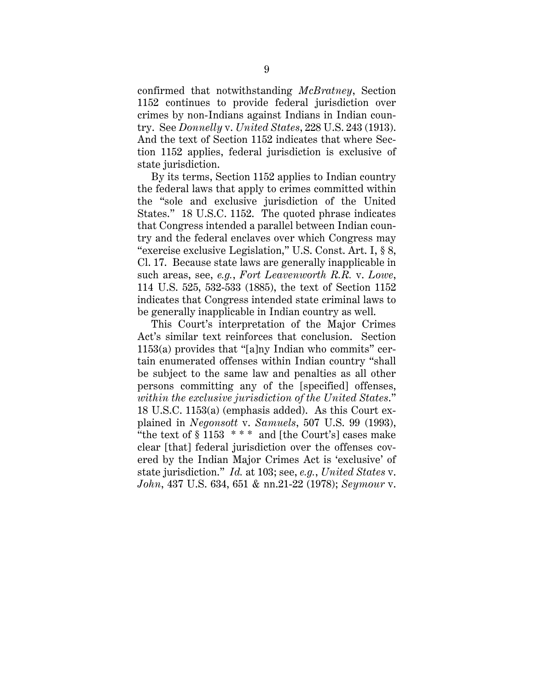confirmed that notwithstanding *McBratney*, Section 1152 continues to provide federal jurisdiction over crimes by non-Indians against Indians in Indian country. See *Donnelly* v. *United States*, 228 U.S. 243 (1913). And the text of Section 1152 indicates that where Section 1152 applies, federal jurisdiction is exclusive of state jurisdiction.

By its terms, Section 1152 applies to Indian country the federal laws that apply to crimes committed within the "sole and exclusive jurisdiction of the United States." 18 U.S.C. 1152. The quoted phrase indicates that Congress intended a parallel between Indian country and the federal enclaves over which Congress may "exercise exclusive Legislation," U.S. Const. Art. I, § 8, Cl. 17. Because state laws are generally inapplicable in such areas, see, *e.g.*, *Fort Leavenworth R.R.* v. *Lowe*, 114 U.S. 525, 532-533 (1885), the text of Section 1152 indicates that Congress intended state criminal laws to be generally inapplicable in Indian country as well.

This Court's interpretation of the Major Crimes Act's similar text reinforces that conclusion. Section  $1153(a)$  provides that "[a]ny Indian who commits" certain enumerated offenses within Indian country "shall be subject to the same law and penalties as all other persons committing any of the [specified] offenses, *within the exclusive jurisdiction of the United States*." 18 U.S.C. 1153(a) (emphasis added). As this Court explained in *Negonsott* v. *Samuels*, 507 U.S. 99 (1993), "the text of  $§$  1153  $**$ " and [the Court's] cases make clear [that] federal jurisdiction over the offenses covered by the Indian Major Crimes Act is 'exclusive' of state jurisdiction." *Id.* at 103; see, *e.g.*, *United States* v. *John*, 437 U.S. 634, 651 & nn.21-22 (1978); *Seymour* v.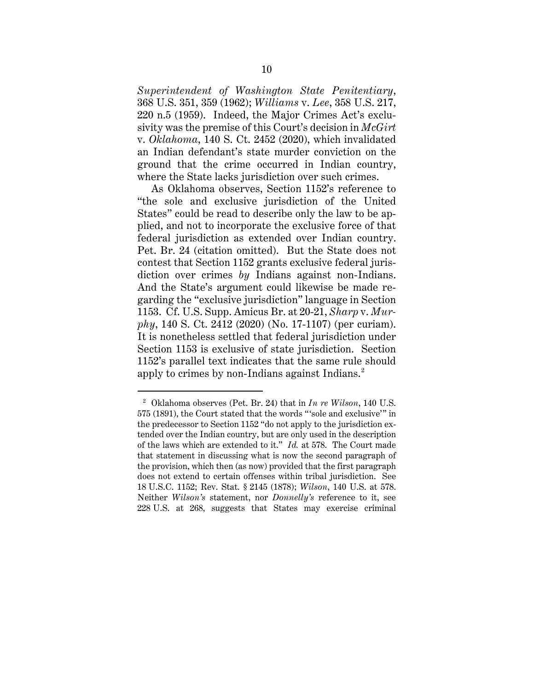*Superintendent of Washington State Penitentiary*, 368 U.S. 351, 359 (1962); *Williams* v. *Lee*, 358 U.S. 217, 220 n.5 (1959). Indeed, the Major Crimes Act's exclusivity was the premise of this Court's decision in *McGirt* v. *Oklahoma*, 140 S. Ct. 2452 (2020), which invalidated an Indian defendant's state murder conviction on the ground that the crime occurred in Indian country, where the State lacks jurisdiction over such crimes.

As Oklahoma observes, Section 1152's reference to "the sole and exclusive jurisdiction of the United States" could be read to describe only the law to be applied, and not to incorporate the exclusive force of that federal jurisdiction as extended over Indian country. Pet. Br. 24 (citation omitted). But the State does not contest that Section 1152 grants exclusive federal jurisdiction over crimes *by* Indians against non-Indians. And the State's argument could likewise be made regarding the "exclusive jurisdiction" language in Section 1153. Cf. U.S. Supp. Amicus Br. at 20-21, *Sharp* v. *Murphy*, 140 S. Ct. 2412 (2020) (No. 17-1107) (per curiam). It is nonetheless settled that federal jurisdiction under Section 1153 is exclusive of state jurisdiction. Section 1152's parallel text indicates that the same rule should apply to crimes by non-Indians against Indians. 2

<sup>2</sup> Oklahoma observes (Pet. Br. 24) that in *In re Wilson*, 140 U.S. 575 (1891), the Court stated that the words "'sole and exclusive'" in the predecessor to Section 1152 "do not apply to the jurisdiction extended over the Indian country, but are only used in the description of the laws which are extended to it." *Id.* at 578. The Court made that statement in discussing what is now the second paragraph of the provision, which then (as now) provided that the first paragraph does not extend to certain offenses within tribal jurisdiction. See 18 U.S.C. 1152; Rev. Stat. § 2145 (1878); *Wilson*, 140 U.S. at 578. Neither *Wilson's* statement, nor *Donnelly's* reference to it, see 228 U.S. at 268, suggests that States may exercise criminal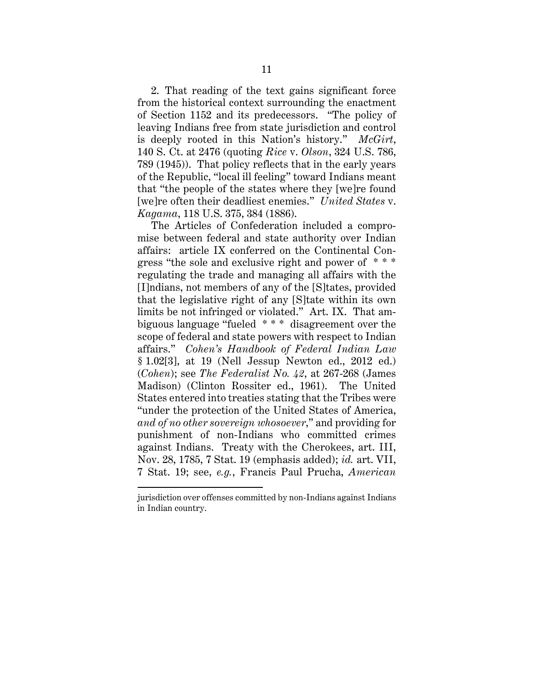2. That reading of the text gains significant force from the historical context surrounding the enactment of Section 1152 and its predecessors. "The policy of leaving Indians free from state jurisdiction and control is deeply rooted in this Nation's history." *McGirt*, 140 S. Ct. at 2476 (quoting *Rice* v. *Olson*, 324 U.S. 786, 789 (1945)). That policy reflects that in the early years of the Republic, "local ill feeling" toward Indians meant that "the people of the states where they [we]re found [we]re often their deadliest enemies." *United States* v. *Kagama*, 118 U.S. 375, 384 (1886).

The Articles of Confederation included a compromise between federal and state authority over Indian affairs: article IX conferred on the Continental Congress "the sole and exclusive right and power of \* \* \* regulating the trade and managing all affairs with the [I]ndians, not members of any of the [S]tates, provided that the legislative right of any [S]tate within its own limits be not infringed or violated." Art. IX. That ambiguous language "fueled \* \* \* disagreement over the scope of federal and state powers with respect to Indian affairs." *Cohen's Handbook of Federal Indian Law* § 1.02[3], at 19 (Nell Jessup Newton ed., 2012 ed.) (*Cohen*); see *The Federalist No. 42*, at 267-268 (James Madison) (Clinton Rossiter ed., 1961). The United States entered into treaties stating that the Tribes were "under the protection of the United States of America, *and of no other sovereign whosoever*," and providing for punishment of non-Indians who committed crimes against Indians. Treaty with the Cherokees, art. III, Nov. 28, 1785, 7 Stat. 19 (emphasis added); *id.* art. VII, 7 Stat. 19; see, *e.g.*, Francis Paul Prucha, *American* 

jurisdiction over offenses committed by non-Indians against Indians in Indian country.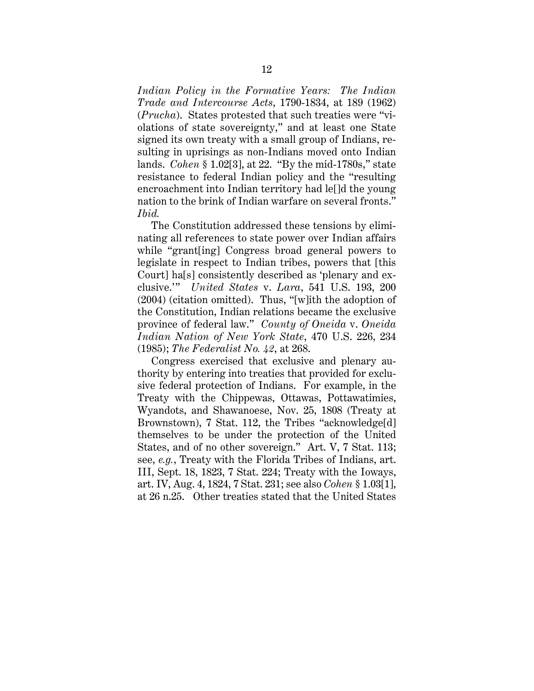*Indian Policy in the Formative Years: The Indian Trade and Intercourse Acts*, 1790-1834, at 189 (1962) (*Prucha*). States protested that such treaties were "violations of state sovereignty," and at least one State signed its own treaty with a small group of Indians, resulting in uprisings as non-Indians moved onto Indian lands. *Cohen* § 1.02[3], at 22. "By the mid-1780s," state resistance to federal Indian policy and the "resulting encroachment into Indian territory had le[]d the young nation to the brink of Indian warfare on several fronts." *Ibid.*

The Constitution addressed these tensions by eliminating all references to state power over Indian affairs while "grant[ing] Congress broad general powers to legislate in respect to Indian tribes, powers that [this Court] ha[s] consistently described as 'plenary and exclusive.'" *United States* v. *Lara*, 541 U.S. 193, 200 (2004) (citation omitted). Thus, "[w]ith the adoption of the Constitution, Indian relations became the exclusive province of federal law." *County of Oneida* v. *Oneida Indian Nation of New York State*, 470 U.S. 226, 234 (1985); *The Federalist No. 42*, at 268.

Congress exercised that exclusive and plenary authority by entering into treaties that provided for exclusive federal protection of Indians. For example, in the Treaty with the Chippewas, Ottawas, Pottawatimies, Wyandots, and Shawanoese, Nov. 25, 1808 (Treaty at Brownstown), 7 Stat. 112, the Tribes "acknowledge[d] themselves to be under the protection of the United States, and of no other sovereign." Art. V, 7 Stat. 113; see, *e.g.*, Treaty with the Florida Tribes of Indians, art. III, Sept. 18, 1823, 7 Stat. 224; Treaty with the Ioways, art. IV, Aug. 4, 1824, 7 Stat. 231; see also *Cohen* § 1.03[1], at 26 n.25. Other treaties stated that the United States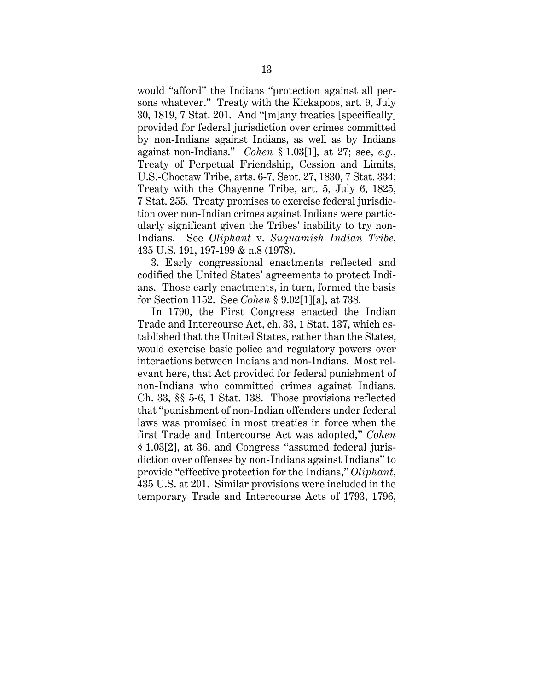would "afford" the Indians "protection against all persons whatever." Treaty with the Kickapoos, art. 9, July 30, 1819, 7 Stat. 201. And "[m]any treaties [specifically] provided for federal jurisdiction over crimes committed by non-Indians against Indians, as well as by Indians against non-Indians." *Cohen* § 1.03[1], at 27; see, *e.g.*, Treaty of Perpetual Friendship, Cession and Limits, U.S.-Choctaw Tribe, arts. 6-7, Sept. 27, 1830, 7 Stat. 334; Treaty with the Chayenne Tribe, art. 5, July 6, 1825, 7 Stat. 255. Treaty promises to exercise federal jurisdiction over non-Indian crimes against Indians were particularly significant given the Tribes' inability to try non-Indians. See *Oliphant* v. *Suquamish Indian Tribe*, 435 U.S. 191, 197-199 & n.8 (1978).

3. Early congressional enactments reflected and codified the United States' agreements to protect Indians. Those early enactments, in turn, formed the basis for Section 1152. See *Cohen* § 9.02[1][a], at 738.

In 1790, the First Congress enacted the Indian Trade and Intercourse Act, ch. 33, 1 Stat. 137, which established that the United States, rather than the States, would exercise basic police and regulatory powers over interactions between Indians and non-Indians. Most relevant here, that Act provided for federal punishment of non-Indians who committed crimes against Indians. Ch. 33, §§ 5-6, 1 Stat. 138. Those provisions reflected that "punishment of non-Indian offenders under federal laws was promised in most treaties in force when the first Trade and Intercourse Act was adopted," *Cohen*  § 1.03[2], at 36, and Congress "assumed federal jurisdiction over offenses by non-Indians against Indians" to provide "effective protection for the Indians," *Oliphant*, 435 U.S. at 201. Similar provisions were included in the temporary Trade and Intercourse Acts of 1793, 1796,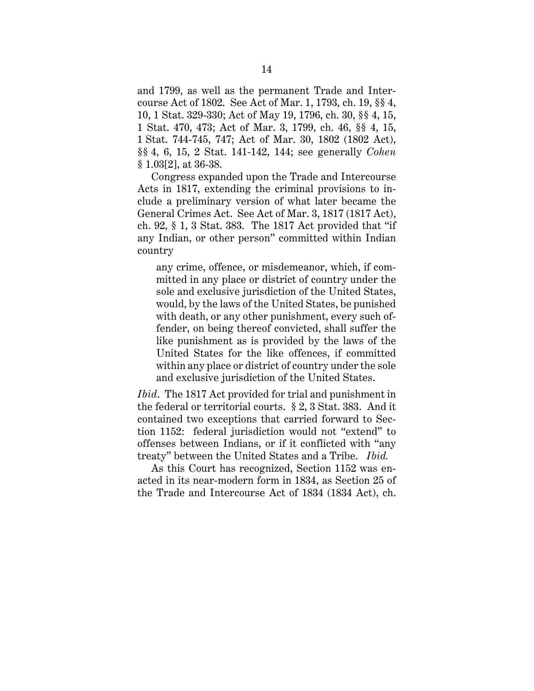and 1799, as well as the permanent Trade and Intercourse Act of 1802. See Act of Mar. 1, 1793, ch. 19, §§ 4, 10, 1 Stat. 329-330; Act of May 19, 1796, ch. 30, §§ 4, 15, 1 Stat. 470, 473; Act of Mar. 3, 1799, ch. 46, §§ 4, 15, 1 Stat. 744-745, 747; Act of Mar. 30, 1802 (1802 Act), §§ 4, 6, 15, 2 Stat. 141-142, 144; see generally *Cohen* § 1.03[2], at 36-38.

Congress expanded upon the Trade and Intercourse Acts in 1817, extending the criminal provisions to include a preliminary version of what later became the General Crimes Act. See Act of Mar. 3, 1817 (1817 Act), ch. 92, § 1, 3 Stat. 383. The 1817 Act provided that "if any Indian, or other person" committed within Indian country

any crime, offence, or misdemeanor, which, if committed in any place or district of country under the sole and exclusive jurisdiction of the United States, would, by the laws of the United States, be punished with death, or any other punishment, every such offender, on being thereof convicted, shall suffer the like punishment as is provided by the laws of the United States for the like offences, if committed within any place or district of country under the sole and exclusive jurisdiction of the United States.

*Ibid*. The 1817 Act provided for trial and punishment in the federal or territorial courts. § 2, 3 Stat. 383. And it contained two exceptions that carried forward to Section 1152: federal jurisdiction would not "extend" to offenses between Indians, or if it conflicted with "any treaty" between the United States and a Tribe. *Ibid.*

As this Court has recognized, Section 1152 was enacted in its near-modern form in 1834, as Section 25 of the Trade and Intercourse Act of 1834 (1834 Act), ch.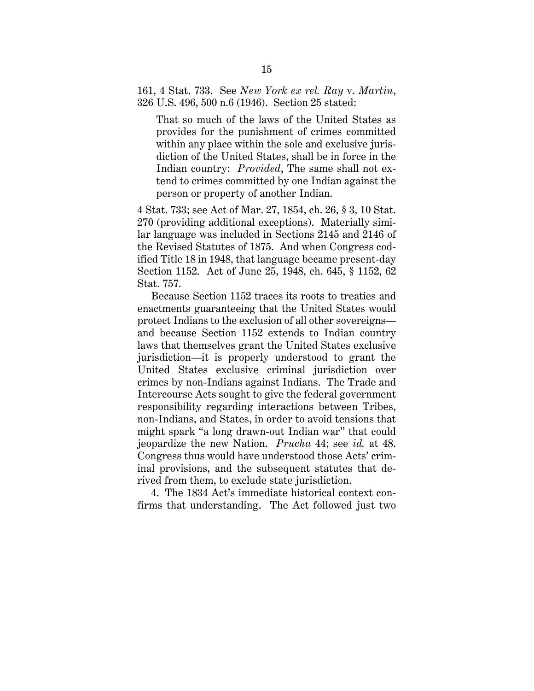161, 4 Stat. 733. See *New York ex rel. Ray* v. *Martin*, 326 U.S. 496, 500 n.6 (1946). Section 25 stated:

That so much of the laws of the United States as provides for the punishment of crimes committed within any place within the sole and exclusive jurisdiction of the United States, shall be in force in the Indian country: *Provided*, The same shall not extend to crimes committed by one Indian against the person or property of another Indian.

4 Stat. 733; see Act of Mar. 27, 1854, ch. 26, § 3, 10 Stat. 270 (providing additional exceptions). Materially similar language was included in Sections 2145 and 2146 of the Revised Statutes of 1875. And when Congress codified Title 18 in 1948, that language became present-day Section 1152. Act of June 25, 1948, ch. 645, § 1152, 62 Stat. 757.

Because Section 1152 traces its roots to treaties and enactments guaranteeing that the United States would protect Indians to the exclusion of all other sovereigns and because Section 1152 extends to Indian country laws that themselves grant the United States exclusive jurisdiction—it is properly understood to grant the United States exclusive criminal jurisdiction over crimes by non-Indians against Indians. The Trade and Intercourse Acts sought to give the federal government responsibility regarding interactions between Tribes, non-Indians, and States, in order to avoid tensions that might spark "a long drawn-out Indian war" that could jeopardize the new Nation. *Prucha* 44; see *id.* at 48. Congress thus would have understood those Acts' criminal provisions, and the subsequent statutes that derived from them, to exclude state jurisdiction.

4. The 1834 Act's immediate historical context confirms that understanding. The Act followed just two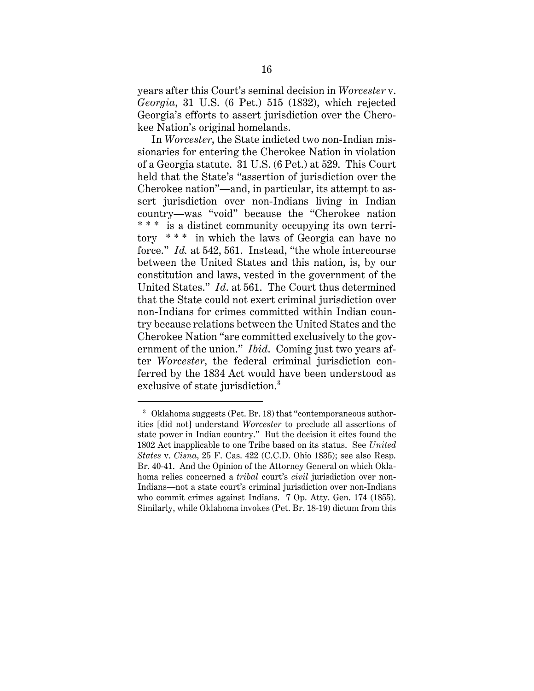years after this Court's seminal decision in *Worcester* v. *Georgia*, 31 U.S. (6 Pet.) 515 (1832), which rejected Georgia's efforts to assert jurisdiction over the Cherokee Nation's original homelands.

In *Worcester*, the State indicted two non-Indian missionaries for entering the Cherokee Nation in violation of a Georgia statute. 31 U.S. (6 Pet.) at 529. This Court held that the State's "assertion of jurisdiction over the Cherokee nation"—and, in particular, its attempt to assert jurisdiction over non-Indians living in Indian country—was "void" because the "Cherokee nation \* \* \* is a distinct community occupying its own territory \* \* \* in which the laws of Georgia can have no force." *Id.* at 542, 561. Instead, "the whole intercourse between the United States and this nation, is, by our constitution and laws, vested in the government of the United States." *Id*. at 561. The Court thus determined that the State could not exert criminal jurisdiction over non-Indians for crimes committed within Indian country because relations between the United States and the Cherokee Nation "are committed exclusively to the government of the union." *Ibid*. Coming just two years after *Worcester*, the federal criminal jurisdiction conferred by the 1834 Act would have been understood as exclusive of state jurisdiction. 3

<sup>3</sup> Oklahoma suggests (Pet. Br. 18) that "contemporaneous authorities [did not] understand *Worcester* to preclude all assertions of state power in Indian country." But the decision it cites found the 1802 Act inapplicable to one Tribe based on its status. See *United States* v. *Cisna*, 25 F. Cas. 422 (C.C.D. Ohio 1835); see also Resp. Br. 40-41. And the Opinion of the Attorney General on which Oklahoma relies concerned a *tribal* court's *civil* jurisdiction over non-Indians—not a state court's criminal jurisdiction over non-Indians who commit crimes against Indians. 7 Op. Atty. Gen. 174 (1855). Similarly, while Oklahoma invokes (Pet. Br. 18-19) dictum from this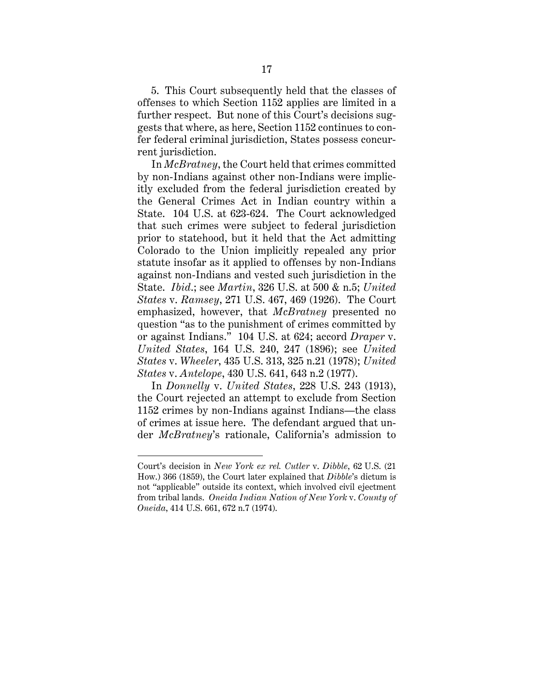5. This Court subsequently held that the classes of offenses to which Section 1152 applies are limited in a further respect. But none of this Court's decisions suggests that where, as here, Section 1152 continues to confer federal criminal jurisdiction, States possess concurrent jurisdiction.

In *McBratney*, the Court held that crimes committed by non-Indians against other non-Indians were implicitly excluded from the federal jurisdiction created by the General Crimes Act in Indian country within a State. 104 U.S. at 623-624. The Court acknowledged that such crimes were subject to federal jurisdiction prior to statehood, but it held that the Act admitting Colorado to the Union implicitly repealed any prior statute insofar as it applied to offenses by non-Indians against non-Indians and vested such jurisdiction in the State. *Ibid*.; see *Martin*, 326 U.S. at 500 & n.5; *United States* v. *Ramsey*, 271 U.S. 467, 469 (1926). The Court emphasized, however, that *McBratney* presented no question "as to the punishment of crimes committed by or against Indians." 104 U.S. at 624; accord *Draper* v. *United States*, 164 U.S. 240, 247 (1896); see *United States* v. *Wheeler*, 435 U.S. 313, 325 n.21 (1978); *United States* v. *Antelope*, 430 U.S. 641, 643 n.2 (1977).

In *Donnelly* v. *United States*, 228 U.S. 243 (1913), the Court rejected an attempt to exclude from Section 1152 crimes by non-Indians against Indians—the class of crimes at issue here. The defendant argued that under *McBratney*'s rationale, California's admission to

Court's decision in *New York ex rel. Cutler* v. *Dibble*, 62 U.S. (21 How.) 366 (1859), the Court later explained that *Dibble*'s dictum is not "applicable" outside its context, which involved civil ejectment from tribal lands. *Oneida Indian Nation of New York* v. *County of Oneida*, 414 U.S. 661, 672 n.7 (1974).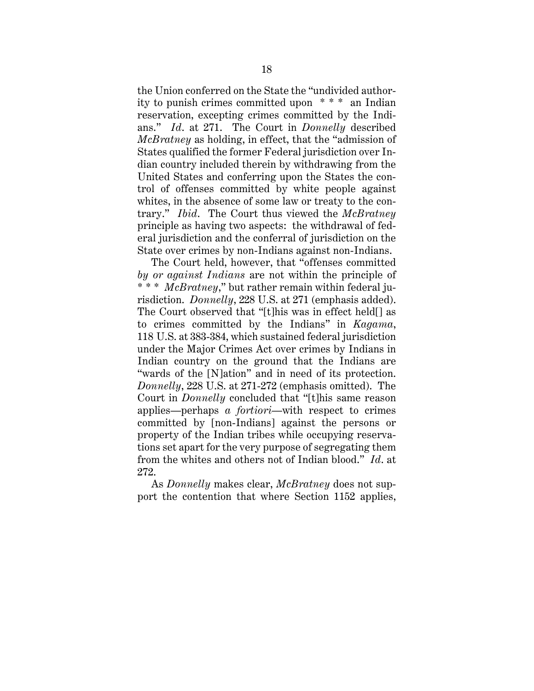the Union conferred on the State the "undivided authority to punish crimes committed upon \* \* \* an Indian reservation, excepting crimes committed by the Indians." *Id*. at 271. The Court in *Donnelly* described *McBratney* as holding, in effect, that the "admission of States qualified the former Federal jurisdiction over Indian country included therein by withdrawing from the United States and conferring upon the States the control of offenses committed by white people against whites, in the absence of some law or treaty to the contrary." *Ibid*. The Court thus viewed the *McBratney* principle as having two aspects: the withdrawal of federal jurisdiction and the conferral of jurisdiction on the State over crimes by non-Indians against non-Indians.

The Court held, however, that "offenses committed *by or against Indians* are not within the principle of \* \* \* *McBratney*," but rather remain within federal jurisdiction. *Donnelly*, 228 U.S. at 271 (emphasis added). The Court observed that "[t]his was in effect held[] as to crimes committed by the Indians" in *Kagama*, 118 U.S. at 383-384, which sustained federal jurisdiction under the Major Crimes Act over crimes by Indians in Indian country on the ground that the Indians are "wards of the [N]ation" and in need of its protection. *Donnelly*, 228 U.S. at 271-272 (emphasis omitted). The Court in *Donnelly* concluded that "[t]his same reason applies—perhaps *a fortiori*—with respect to crimes committed by [non-Indians] against the persons or property of the Indian tribes while occupying reservations set apart for the very purpose of segregating them from the whites and others not of Indian blood." *Id*. at 272.

As *Donnelly* makes clear, *McBratney* does not support the contention that where Section 1152 applies,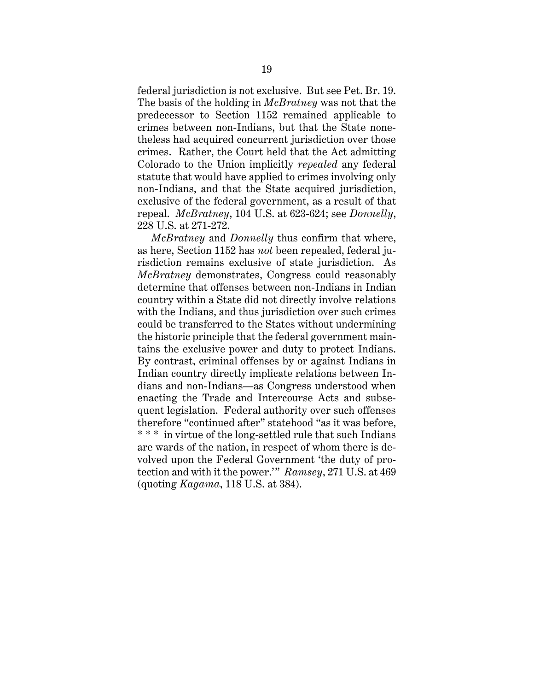federal jurisdiction is not exclusive. But see Pet. Br. 19. The basis of the holding in *McBratney* was not that the predecessor to Section 1152 remained applicable to crimes between non-Indians, but that the State nonetheless had acquired concurrent jurisdiction over those crimes. Rather, the Court held that the Act admitting Colorado to the Union implicitly *repealed* any federal statute that would have applied to crimes involving only non-Indians, and that the State acquired jurisdiction, exclusive of the federal government, as a result of that repeal. *McBratney*, 104 U.S. at 623-624; see *Donnelly*, 228 U.S. at 271-272.

*McBratney* and *Donnelly* thus confirm that where, as here, Section 1152 has *not* been repealed, federal jurisdiction remains exclusive of state jurisdiction. As *McBratney* demonstrates, Congress could reasonably determine that offenses between non-Indians in Indian country within a State did not directly involve relations with the Indians, and thus jurisdiction over such crimes could be transferred to the States without undermining the historic principle that the federal government maintains the exclusive power and duty to protect Indians. By contrast, criminal offenses by or against Indians in Indian country directly implicate relations between Indians and non-Indians—as Congress understood when enacting the Trade and Intercourse Acts and subsequent legislation. Federal authority over such offenses therefore "continued after" statehood "as it was before, \* \* \* in virtue of the long-settled rule that such Indians are wards of the nation, in respect of whom there is devolved upon the Federal Government 'the duty of protection and with it the power.'" *Ramsey*, 271 U.S. at 469 (quoting *Kagama*, 118 U.S. at 384).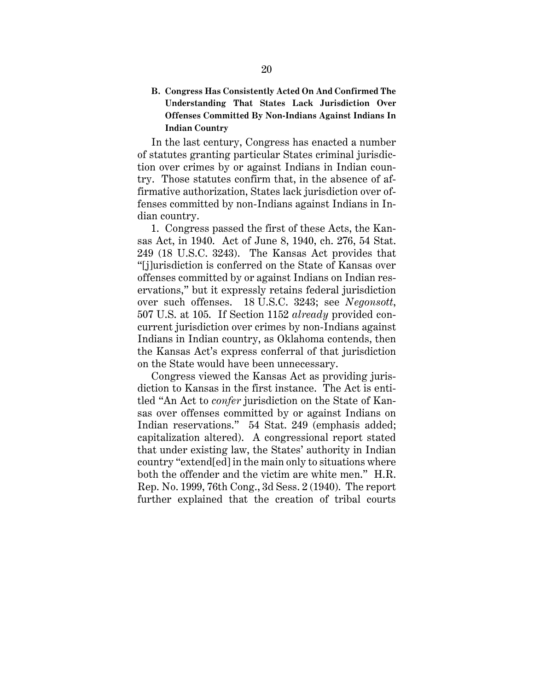**B. Congress Has Consistently Acted On And Confirmed The Understanding That States Lack Jurisdiction Over Offenses Committed By Non-Indians Against Indians In Indian Country** 

In the last century, Congress has enacted a number of statutes granting particular States criminal jurisdiction over crimes by or against Indians in Indian country. Those statutes confirm that, in the absence of affirmative authorization, States lack jurisdiction over offenses committed by non-Indians against Indians in Indian country.

1. Congress passed the first of these Acts, the Kansas Act, in 1940. Act of June 8, 1940, ch. 276, 54 Stat. 249 (18 U.S.C. 3243). The Kansas Act provides that "[j]urisdiction is conferred on the State of Kansas over offenses committed by or against Indians on Indian reservations," but it expressly retains federal jurisdiction over such offenses. 18 U.S.C. 3243; see *Negonsott*, 507 U.S. at 105. If Section 1152 *already* provided concurrent jurisdiction over crimes by non-Indians against Indians in Indian country, as Oklahoma contends, then the Kansas Act's express conferral of that jurisdiction on the State would have been unnecessary.

Congress viewed the Kansas Act as providing jurisdiction to Kansas in the first instance. The Act is entitled "An Act to *confer* jurisdiction on the State of Kansas over offenses committed by or against Indians on Indian reservations." 54 Stat. 249 (emphasis added; capitalization altered). A congressional report stated that under existing law, the States' authority in Indian country "extend[ed] in the main only to situations where both the offender and the victim are white men." H.R. Rep. No. 1999, 76th Cong., 3d Sess. 2 (1940). The report further explained that the creation of tribal courts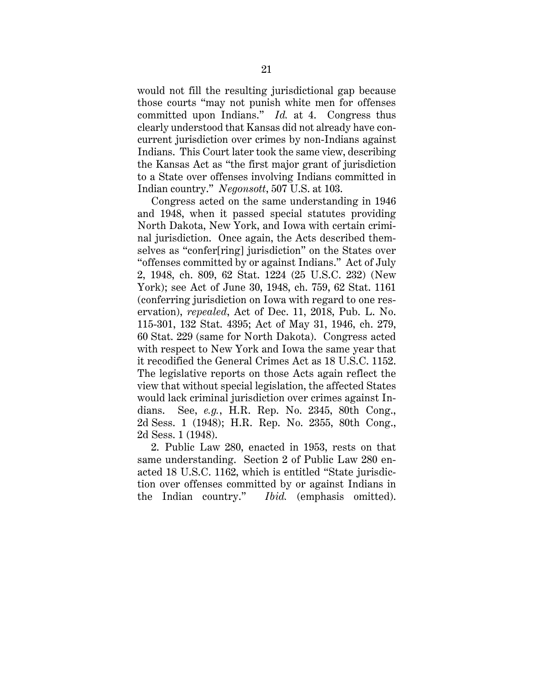would not fill the resulting jurisdictional gap because those courts "may not punish white men for offenses committed upon Indians." *Id.* at 4. Congress thus clearly understood that Kansas did not already have concurrent jurisdiction over crimes by non-Indians against Indians. This Court later took the same view, describing the Kansas Act as "the first major grant of jurisdiction to a State over offenses involving Indians committed in Indian country." *Negonsott*, 507 U.S. at 103.

Congress acted on the same understanding in 1946 and 1948, when it passed special statutes providing North Dakota, New York, and Iowa with certain criminal jurisdiction. Once again, the Acts described themselves as "confer[ring] jurisdiction" on the States over "offenses committed by or against Indians." Act of July 2, 1948, ch. 809, 62 Stat. 1224 (25 U.S.C. 232) (New York); see Act of June 30, 1948, ch. 759, 62 Stat. 1161 (conferring jurisdiction on Iowa with regard to one reservation), *repealed*, Act of Dec. 11, 2018, Pub. L. No. 115-301, 132 Stat. 4395; Act of May 31, 1946, ch. 279, 60 Stat. 229 (same for North Dakota). Congress acted with respect to New York and Iowa the same year that it recodified the General Crimes Act as 18 U.S.C. 1152. The legislative reports on those Acts again reflect the view that without special legislation, the affected States would lack criminal jurisdiction over crimes against Indians. See, *e.g.*, H.R. Rep. No. 2345, 80th Cong., 2d Sess. 1 (1948); H.R. Rep. No. 2355, 80th Cong., 2d Sess. 1 (1948).

2. Public Law 280, enacted in 1953, rests on that same understanding. Section 2 of Public Law 280 enacted 18 U.S.C. 1162, which is entitled "State jurisdiction over offenses committed by or against Indians in the Indian country." *Ibid.* (emphasis omitted).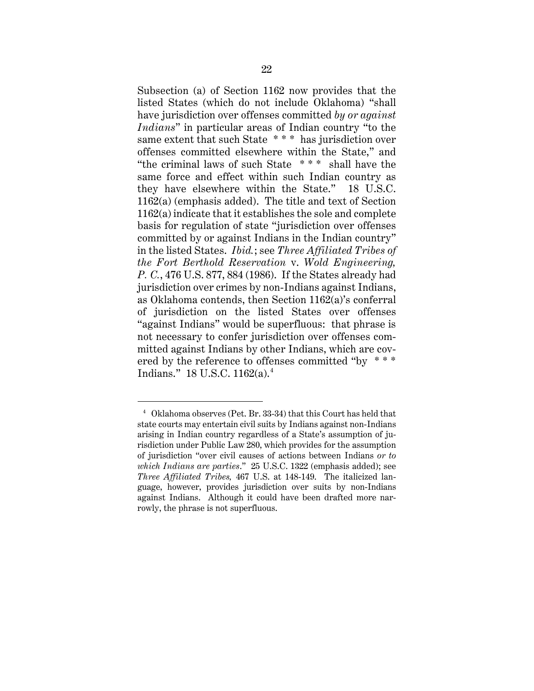Subsection (a) of Section 1162 now provides that the listed States (which do not include Oklahoma) "shall have jurisdiction over offenses committed *by or against Indians*" in particular areas of Indian country "to the same extent that such State \* \* \* has jurisdiction over offenses committed elsewhere within the State," and "the criminal laws of such State \* \* \* shall have the same force and effect within such Indian country as they have elsewhere within the State." 18 U.S.C. 1162(a) (emphasis added). The title and text of Section 1162(a) indicate that it establishes the sole and complete basis for regulation of state "jurisdiction over offenses committed by or against Indians in the Indian country" in the listed States. *Ibid.*; see *Three Affiliated Tribes of the Fort Berthold Reservation* v. *Wold Engineering, P. C.*, 476 U.S. 877, 884 (1986). If the States already had jurisdiction over crimes by non-Indians against Indians, as Oklahoma contends, then Section 1162(a)'s conferral of jurisdiction on the listed States over offenses "against Indians" would be superfluous: that phrase is not necessary to confer jurisdiction over offenses committed against Indians by other Indians, which are covered by the reference to offenses committed "by \*\*\* Indians." 18 U.S.C. 1162(a).4

<sup>4</sup> Oklahoma observes (Pet. Br. 33-34) that this Court has held that state courts may entertain civil suits by Indians against non-Indians arising in Indian country regardless of a State's assumption of jurisdiction under Public Law 280, which provides for the assumption of jurisdiction "over civil causes of actions between Indians *or to which Indians are parties*." 25 U.S.C. 1322 (emphasis added); see *Three Affiliated Tribes,* 467 U.S. at 148-149. The italicized language, however, provides jurisdiction over suits by non-Indians against Indians. Although it could have been drafted more narrowly, the phrase is not superfluous.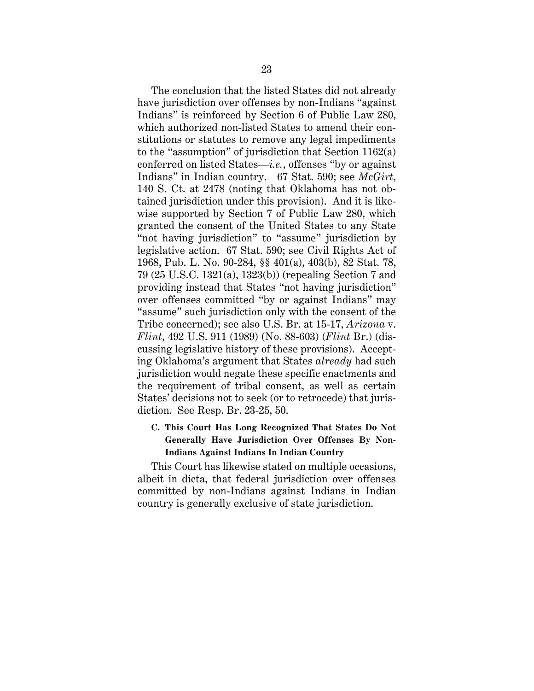The conclusion that the listed States did not already have jurisdiction over offenses by non-Indians "against Indians" is reinforced by Section 6 of Public Law 280, which authorized non-listed States to amend their constitutions or statutes to remove any legal impediments to the "assumption" of jurisdiction that Section 1162(a) conferred on listed States—*i.e.*, offenses "by or against Indians" in Indian country. 67 Stat. 590; see *McGirt*, 140 S. Ct. at 2478 (noting that Oklahoma has not obtained jurisdiction under this provision). And it is likewise supported by Section 7 of Public Law 280, which granted the consent of the United States to any State "not having jurisdiction" to "assume" jurisdiction by legislative action. 67 Stat. 590; see Civil Rights Act of 1968, Pub. L. No. 90-284, §§ 401(a), 403(b), 82 Stat. 78, 79 (25 U.S.C. 1321(a), 1323(b)) (repealing Section 7 and providing instead that States "not having jurisdiction" over offenses committed "by or against Indians" may "assume" such jurisdiction only with the consent of the Tribe concerned); see also U.S. Br. at 15-17, *Arizona* v. *Flint*, 492 U.S. 911 (1989) (No. 88-603) (*Flint* Br.) (discussing legislative history of these provisions). Accepting Oklahoma's argument that States *already* had such jurisdiction would negate these specific enactments and the requirement of tribal consent, as well as certain States' decisions not to seek (or to retrocede) that jurisdiction. See Resp. Br. 23-25, 50.

# **C. This Court Has Long Recognized That States Do Not Generally Have Jurisdiction Over Offenses By Non-Indians Against Indians In Indian Country**

This Court has likewise stated on multiple occasions, albeit in dicta, that federal jurisdiction over offenses committed by non-Indians against Indians in Indian country is generally exclusive of state jurisdiction.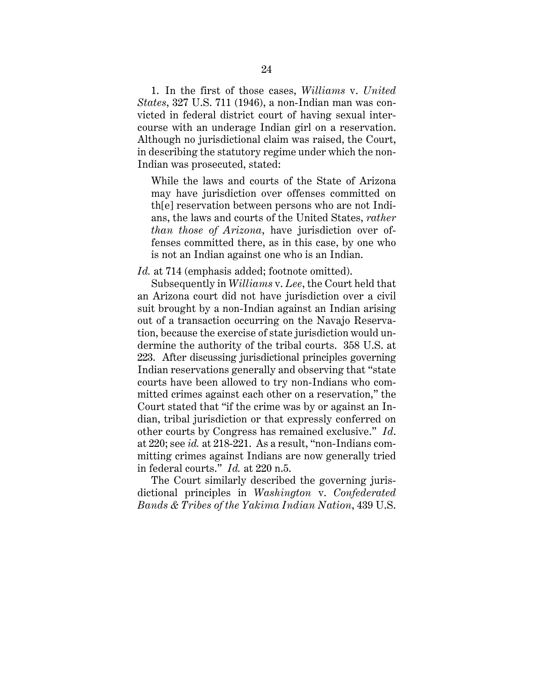1. In the first of those cases, *Williams* v. *United States*, 327 U.S. 711 (1946), a non-Indian man was convicted in federal district court of having sexual intercourse with an underage Indian girl on a reservation. Although no jurisdictional claim was raised, the Court, in describing the statutory regime under which the non-Indian was prosecuted, stated:

While the laws and courts of the State of Arizona may have jurisdiction over offenses committed on th[e] reservation between persons who are not Indians, the laws and courts of the United States, *rather than those of Arizona*, have jurisdiction over offenses committed there, as in this case, by one who is not an Indian against one who is an Indian.

#### *Id.* at 714 (emphasis added; footnote omitted).

Subsequently in *Williams* v. *Lee*, the Court held that an Arizona court did not have jurisdiction over a civil suit brought by a non-Indian against an Indian arising out of a transaction occurring on the Navajo Reservation, because the exercise of state jurisdiction would undermine the authority of the tribal courts. 358 U.S. at 223. After discussing jurisdictional principles governing Indian reservations generally and observing that "state courts have been allowed to try non-Indians who committed crimes against each other on a reservation," the Court stated that "if the crime was by or against an Indian, tribal jurisdiction or that expressly conferred on other courts by Congress has remained exclusive." *Id*. at 220; see *id.* at 218-221. As a result, "non-Indians committing crimes against Indians are now generally tried in federal courts." *Id.* at 220 n.5.

The Court similarly described the governing jurisdictional principles in *Washington* v. *Confederated Bands & Tribes of the Yakima Indian Nation*, 439 U.S.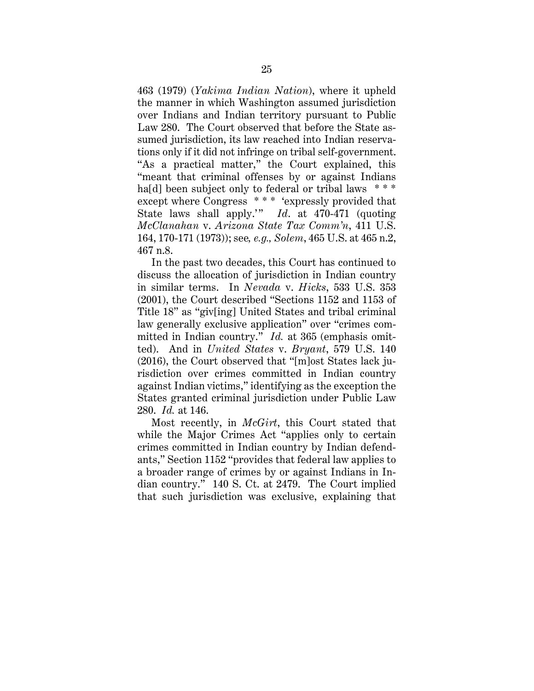463 (1979) (*Yakima Indian Nation*), where it upheld the manner in which Washington assumed jurisdiction over Indians and Indian territory pursuant to Public Law 280. The Court observed that before the State assumed jurisdiction, its law reached into Indian reservations only if it did not infringe on tribal self-government. "As a practical matter," the Court explained, this "meant that criminal offenses by or against Indians ha[d] been subject only to federal or tribal laws \*\*\* except where Congress \*\*\* 'expressly provided that State laws shall apply.'" *Id.* at 470-471 (quoting *McClanahan* v. *Arizona State Tax Comm'n*, 411 U.S. 164, 170-171 (1973)); see*, e.g., Solem*, 465 U.S. at 465 n.2, 467 n.8.

In the past two decades, this Court has continued to discuss the allocation of jurisdiction in Indian country in similar terms. In *Nevada* v. *Hicks*, 533 U.S. 353 (2001), the Court described "Sections 1152 and 1153 of Title 18" as "giv[ing] United States and tribal criminal law generally exclusive application" over "crimes committed in Indian country." *Id.* at 365 (emphasis omitted). And in *United States* v. *Bryant*, 579 U.S. 140 (2016), the Court observed that "[m]ost States lack jurisdiction over crimes committed in Indian country against Indian victims," identifying as the exception the States granted criminal jurisdiction under Public Law 280. *Id.* at 146.

Most recently, in *McGirt*, this Court stated that while the Major Crimes Act "applies only to certain crimes committed in Indian country by Indian defendants," Section 1152 "provides that federal law applies to a broader range of crimes by or against Indians in Indian country." 140 S. Ct. at 2479. The Court implied that such jurisdiction was exclusive, explaining that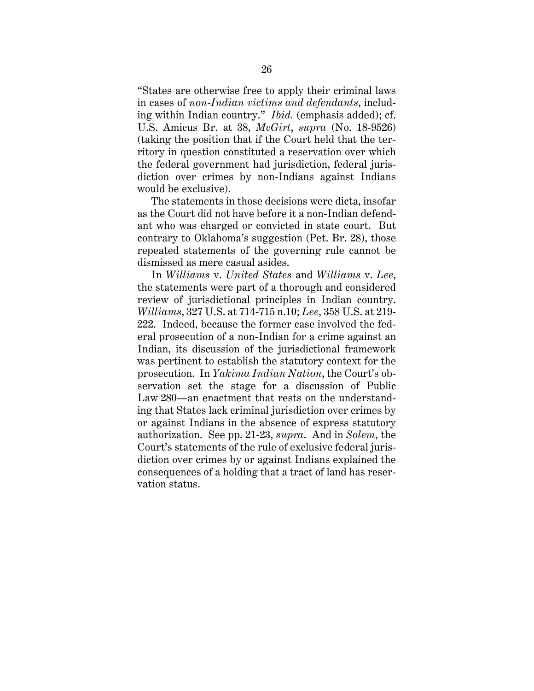"States are otherwise free to apply their criminal laws in cases of *non-Indian victims and defendants*, including within Indian country." *Ibid.* (emphasis added); cf. U.S. Amicus Br. at 38, *McGirt*, *supra* (No. 18-9526) (taking the position that if the Court held that the territory in question constituted a reservation over which the federal government had jurisdiction, federal jurisdiction over crimes by non-Indians against Indians would be exclusive).

The statements in those decisions were dicta, insofar as the Court did not have before it a non-Indian defendant who was charged or convicted in state court. But contrary to Oklahoma's suggestion (Pet. Br. 28), those repeated statements of the governing rule cannot be dismissed as mere casual asides.

In *Williams* v. *United States* and *Williams* v. *Lee*, the statements were part of a thorough and considered review of jurisdictional principles in Indian country. *Williams*, 327 U.S. at 714-715 n.10; *Lee*, 358 U.S. at 219- 222. Indeed, because the former case involved the federal prosecution of a non-Indian for a crime against an Indian, its discussion of the jurisdictional framework was pertinent to establish the statutory context for the prosecution. In *Yakima Indian Nation*, the Court's observation set the stage for a discussion of Public Law 280—an enactment that rests on the understanding that States lack criminal jurisdiction over crimes by or against Indians in the absence of express statutory authorization. See pp. 21-23, *supra*. And in *Solem*, the Court's statements of the rule of exclusive federal jurisdiction over crimes by or against Indians explained the consequences of a holding that a tract of land has reservation status.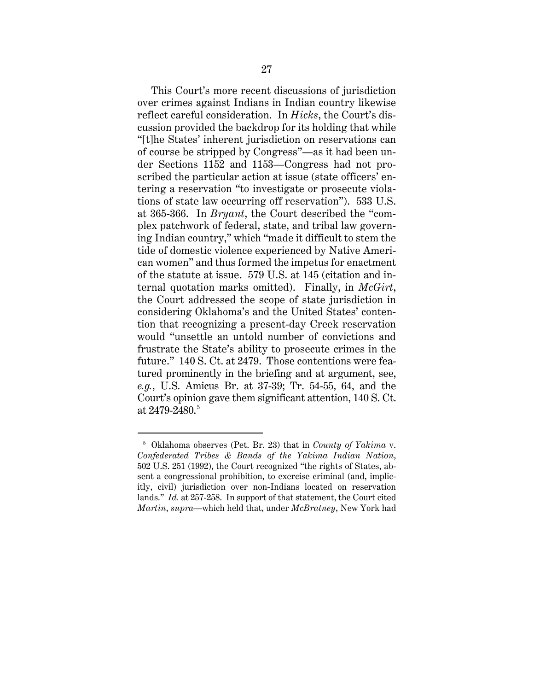This Court's more recent discussions of jurisdiction over crimes against Indians in Indian country likewise reflect careful consideration. In *Hicks*, the Court's discussion provided the backdrop for its holding that while "[t]he States' inherent jurisdiction on reservations can of course be stripped by Congress"—as it had been under Sections 1152 and 1153—Congress had not proscribed the particular action at issue (state officers' entering a reservation "to investigate or prosecute violations of state law occurring off reservation"). 533 U.S. at 365-366. In *Bryant*, the Court described the "complex patchwork of federal, state, and tribal law governing Indian country," which "made it difficult to stem the tide of domestic violence experienced by Native American women" and thus formed the impetus for enactment of the statute at issue. 579 U.S. at 145 (citation and internal quotation marks omitted). Finally, in *McGirt*, the Court addressed the scope of state jurisdiction in considering Oklahoma's and the United States' contention that recognizing a present-day Creek reservation would "unsettle an untold number of convictions and frustrate the State's ability to prosecute crimes in the future." 140 S. Ct. at 2479. Those contentions were featured prominently in the briefing and at argument, see, *e.g.*, U.S. Amicus Br. at 37-39; Tr. 54-55, 64, and the Court's opinion gave them significant attention, 140 S. Ct. at 2479-2480. 5

<sup>5</sup> Oklahoma observes (Pet. Br. 23) that in *County of Yakima* v. *Confederated Tribes & Bands of the Yakima Indian Nation*, 502 U.S. 251 (1992), the Court recognized "the rights of States, absent a congressional prohibition, to exercise criminal (and, implicitly, civil) jurisdiction over non-Indians located on reservation lands." *Id.* at 257-258. In support of that statement, the Court cited *Martin*, *supra*—which held that, under *McBratney*, New York had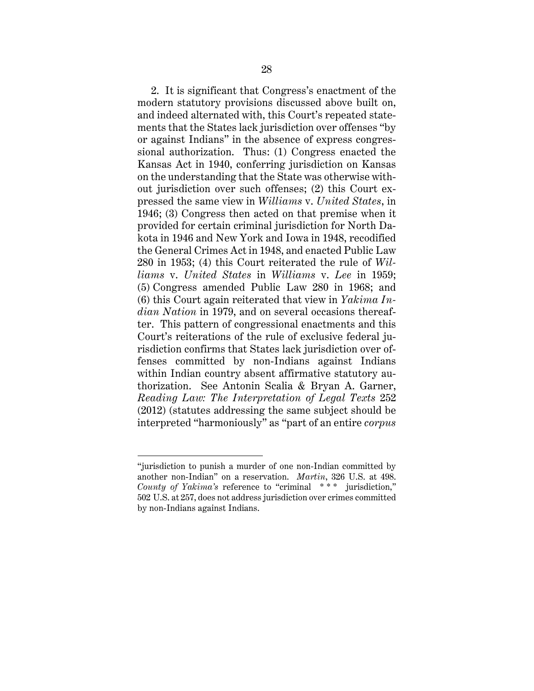2. It is significant that Congress's enactment of the modern statutory provisions discussed above built on, and indeed alternated with, this Court's repeated statements that the States lack jurisdiction over offenses "by or against Indians" in the absence of express congressional authorization. Thus: (1) Congress enacted the Kansas Act in 1940, conferring jurisdiction on Kansas on the understanding that the State was otherwise without jurisdiction over such offenses; (2) this Court expressed the same view in *Williams* v. *United States*, in 1946; (3) Congress then acted on that premise when it provided for certain criminal jurisdiction for North Dakota in 1946 and New York and Iowa in 1948, recodified the General Crimes Act in 1948, and enacted Public Law 280 in 1953; (4) this Court reiterated the rule of *Williams* v. *United States* in *Williams* v. *Lee* in 1959; (5) Congress amended Public Law 280 in 1968; and (6) this Court again reiterated that view in *Yakima Indian Nation* in 1979, and on several occasions thereafter. This pattern of congressional enactments and this Court's reiterations of the rule of exclusive federal jurisdiction confirms that States lack jurisdiction over offenses committed by non-Indians against Indians within Indian country absent affirmative statutory authorization. See Antonin Scalia & Bryan A. Garner, *Reading Law: The Interpretation of Legal Texts* 252 (2012) (statutes addressing the same subject should be interpreted "harmoniously" as "part of an entire *corpus*

<sup>&</sup>quot;jurisdiction to punish a murder of one non-Indian committed by another non-Indian" on a reservation. *Martin*, 326 U.S. at 498. *County of Yakima's* reference to "criminal \*\*\* jurisdiction," 502 U.S. at 257, does not address jurisdiction over crimes committed by non-Indians against Indians.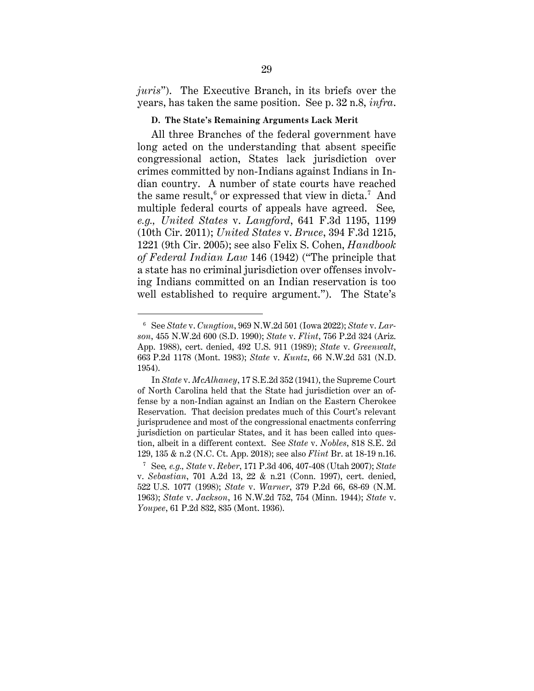*juris*"). The Executive Branch, in its briefs over the years, has taken the same position. See p. 32 n.8, *infra*.

#### **D. The State's Remaining Arguments Lack Merit**

All three Branches of the federal government have long acted on the understanding that absent specific congressional action, States lack jurisdiction over crimes committed by non-Indians against Indians in Indian country. A number of state courts have reached the same result,<sup>6</sup> or expressed that view in dicta.<sup>7</sup> And multiple federal courts of appeals have agreed. See*, e.g., United States* v. *Langford*, 641 F.3d 1195, 1199 (10th Cir. 2011); *United States* v. *Bruce*, 394 F.3d 1215, 1221 (9th Cir. 2005); see also Felix S. Cohen, *Handbook of Federal Indian Law* 146 (1942) ("The principle that a state has no criminal jurisdiction over offenses involving Indians committed on an Indian reservation is too well established to require argument."). The State's

<sup>6</sup> See *State* v. *Cungtion*, 969 N.W.2d 501 (Iowa 2022); *State* v. *Larson*, 455 N.W.2d 600 (S.D. 1990); *State* v. *Flint*, 756 P.2d 324 (Ariz. App. 1988), cert. denied, 492 U.S. 911 (1989); *State* v. *Greenwalt*, 663 P.2d 1178 (Mont. 1983); *State* v. *Kuntz*, 66 N.W.2d 531 (N.D. 1954).

In *State* v. *McAlhaney*, 17 S.E.2d 352 (1941), the Supreme Court of North Carolina held that the State had jurisdiction over an offense by a non-Indian against an Indian on the Eastern Cherokee Reservation. That decision predates much of this Court's relevant jurisprudence and most of the congressional enactments conferring jurisdiction on particular States, and it has been called into question, albeit in a different context. See *State* v. *Nobles*, 818 S.E. 2d 129, 135 & n.2 (N.C. Ct. App. 2018); see also *Flint* Br. at 18-19 n.16.

<sup>7</sup> See*, e.g., State* v. *Reber*, 171 P.3d 406, 407-408 (Utah 2007); *State*  v. *Sebastian*, 701 A.2d 13, 22 & n.21 (Conn. 1997), cert. denied, 522 U.S. 1077 (1998); *State* v. *Warner*, 379 P.2d 66, 68-69 (N.M. 1963); *State* v. *Jackson*, 16 N.W.2d 752, 754 (Minn. 1944); *State* v. *Youpee*, 61 P.2d 832, 835 (Mont. 1936).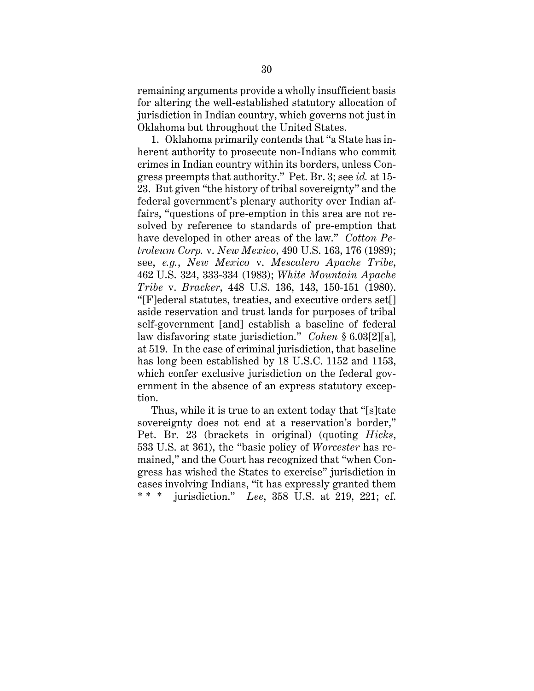remaining arguments provide a wholly insufficient basis for altering the well-established statutory allocation of jurisdiction in Indian country, which governs not just in Oklahoma but throughout the United States.

1. Oklahoma primarily contends that "a State has inherent authority to prosecute non-Indians who commit crimes in Indian country within its borders, unless Congress preempts that authority." Pet. Br. 3; see *id.* at 15- 23. But given "the history of tribal sovereignty" and the federal government's plenary authority over Indian affairs, "questions of pre-emption in this area are not resolved by reference to standards of pre-emption that have developed in other areas of the law." *Cotton Petroleum Corp.* v. *New Mexico*, 490 U.S. 163, 176 (1989); see, *e.g.*, *New Mexico* v. *Mescalero Apache Tribe*, 462 U.S. 324, 333-334 (1983); *White Mountain Apache Tribe* v. *Bracker*, 448 U.S. 136, 143, 150-151 (1980). "[F]ederal statutes, treaties, and executive orders set[] aside reservation and trust lands for purposes of tribal self-government [and] establish a baseline of federal law disfavoring state jurisdiction." *Cohen* § 6.03[2][a], at 519. In the case of criminal jurisdiction, that baseline has long been established by 18 U.S.C. 1152 and 1153, which confer exclusive jurisdiction on the federal government in the absence of an express statutory exception.

Thus, while it is true to an extent today that "[s]tate sovereignty does not end at a reservation's border," Pet. Br. 23 (brackets in original) (quoting *Hicks*, 533 U.S. at 361), the "basic policy of *Worcester* has remained," and the Court has recognized that "when Congress has wished the States to exercise" jurisdiction in cases involving Indians, "it has expressly granted them \* \* \* jurisdiction." *Lee*, 358 U.S. at 219, 221; cf.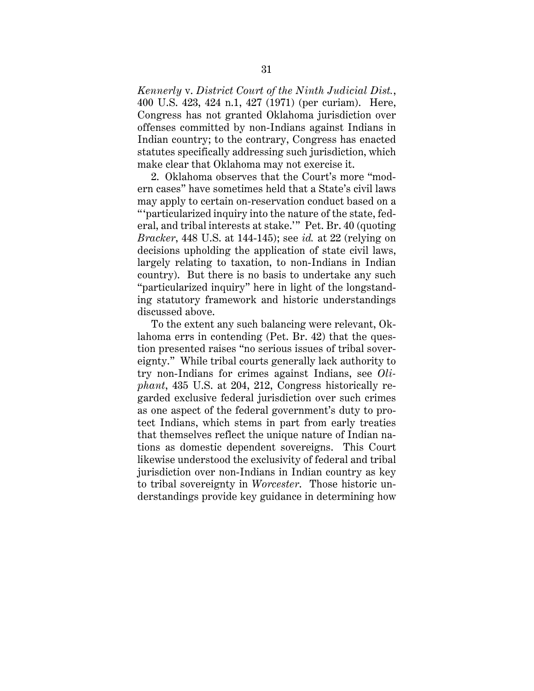*Kennerly* v. *District Court of the Ninth Judicial Dist.*, 400 U.S. 423, 424 n.1, 427 (1971) (per curiam). Here, Congress has not granted Oklahoma jurisdiction over offenses committed by non-Indians against Indians in Indian country; to the contrary, Congress has enacted statutes specifically addressing such jurisdiction, which make clear that Oklahoma may not exercise it.

2. Oklahoma observes that the Court's more "modern cases" have sometimes held that a State's civil laws may apply to certain on-reservation conduct based on a " 'particularized inquiry into the nature of the state, federal, and tribal interests at stake.'" Pet. Br. 40 (quoting *Bracker*, 448 U.S. at 144-145); see *id.* at 22 (relying on decisions upholding the application of state civil laws, largely relating to taxation, to non-Indians in Indian country). But there is no basis to undertake any such "particularized inquiry" here in light of the longstanding statutory framework and historic understandings discussed above.

To the extent any such balancing were relevant, Oklahoma errs in contending (Pet. Br. 42) that the question presented raises "no serious issues of tribal sovereignty." While tribal courts generally lack authority to try non-Indians for crimes against Indians, see *Oliphant*, 435 U.S. at 204, 212, Congress historically regarded exclusive federal jurisdiction over such crimes as one aspect of the federal government's duty to protect Indians, which stems in part from early treaties that themselves reflect the unique nature of Indian nations as domestic dependent sovereigns. This Court likewise understood the exclusivity of federal and tribal jurisdiction over non-Indians in Indian country as key to tribal sovereignty in *Worcester*. Those historic understandings provide key guidance in determining how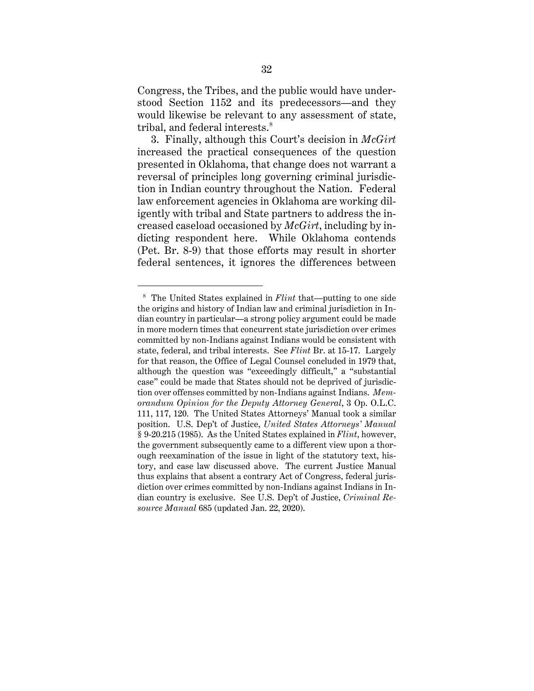Congress, the Tribes, and the public would have understood Section 1152 and its predecessors—and they would likewise be relevant to any assessment of state, tribal, and federal interests. 8

3. Finally, although this Court's decision in *McGirt*  increased the practical consequences of the question presented in Oklahoma, that change does not warrant a reversal of principles long governing criminal jurisdiction in Indian country throughout the Nation. Federal law enforcement agencies in Oklahoma are working diligently with tribal and State partners to address the increased caseload occasioned by *McGirt*, including by indicting respondent here. While Oklahoma contends (Pet. Br. 8-9) that those efforts may result in shorter federal sentences, it ignores the differences between

<sup>8</sup> The United States explained in *Flint* that—putting to one side the origins and history of Indian law and criminal jurisdiction in Indian country in particular—a strong policy argument could be made in more modern times that concurrent state jurisdiction over crimes committed by non-Indians against Indians would be consistent with state, federal, and tribal interests. See *Flint* Br. at 15-17. Largely for that reason, the Office of Legal Counsel concluded in 1979 that, although the question was "exceedingly difficult," a "substantial case" could be made that States should not be deprived of jurisdiction over offenses committed by non-Indians against Indians. *Memorandum Opinion for the Deputy Attorney General*, 3 Op. O.L.C. 111, 117, 120. The United States Attorneys' Manual took a similar position. U.S. Dep't of Justice, *United States Attorneys' Manual* § 9-20.215 (1985). As the United States explained in *Flint*, however, the government subsequently came to a different view upon a thorough reexamination of the issue in light of the statutory text, history, and case law discussed above. The current Justice Manual thus explains that absent a contrary Act of Congress, federal jurisdiction over crimes committed by non-Indians against Indians in Indian country is exclusive. See U.S. Dep't of Justice, *Criminal Resource Manual* 685 (updated Jan. 22, 2020).